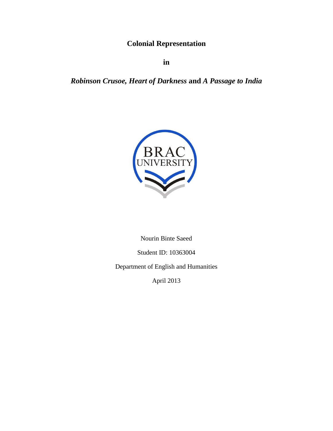**Colonial Representation**

**in**

## *Robinson Crusoe, Heart of Darkness* **and** *A Passage to India*



Nourin Binte Saeed

Student ID: 10363004

Department of English and Humanities

April 2013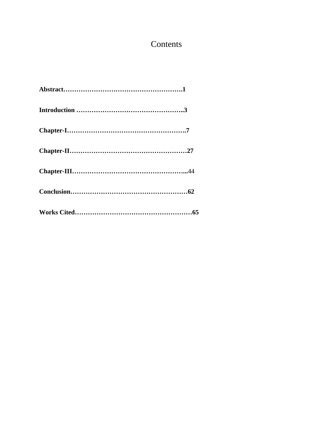# Contents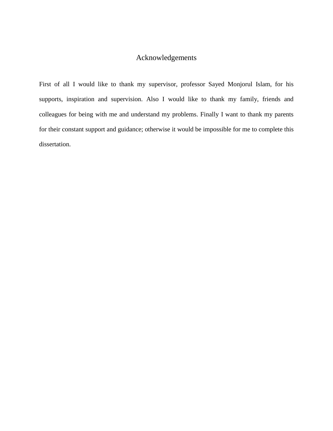### Acknowledgements

First of all I would like to thank my supervisor, professor Sayed Monjorul Islam, for his supports, inspiration and supervision. Also I would like to thank my family, friends and colleagues for being with me and understand my problems. Finally I want to thank my parents for their constant support and guidance; otherwise it would be impossible for me to complete this dissertation.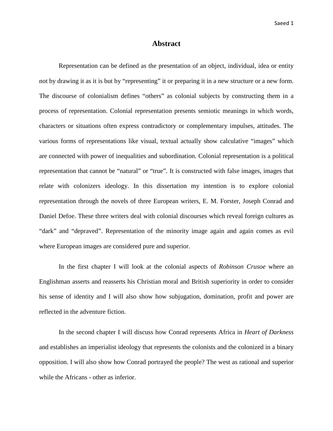#### **Abstract**

Representation can be defined as the presentation of an object, individual, idea or entity not by drawing it as it is but by "representing" it or preparing it in a new structure or a new form. The discourse of colonialism defines "others" as colonial subjects by constructing them in a process of representation. Colonial representation presents semiotic meanings in which words, characters or situations often express contradictory or complementary impulses, attitudes. The various forms of representations like visual, textual actually show calculative "images" which are connected with power of inequalities and subordination. Colonial representation is a political representation that cannot be "natural" or "true". It is constructed with false images, images that relate with colonizers ideology. In this dissertation my intention is to explore colonial representation through the novels of three European writers, E. M. Forster, Joseph Conrad and Daniel Defoe. These three writers deal with colonial discourses which reveal foreign cultures as "dark" and "depraved". Representation of the minority image again and again comes as evil where European images are considered pure and superior.

In the first chapter I will look at the colonial aspects of *Robinson Crusoe* where an Englishman asserts and reasserts his Christian moral and British superiority in order to consider his sense of identity and I will also show how subjugation, domination, profit and power are reflected in the adventure fiction.

In the second chapter I will discuss how Conrad represents Africa in *Heart of Darkness* and establishes an imperialist ideology that represents the colonists and the colonized in a binary opposition. I will also show how Conrad portrayed the people? The west as rational and superior while the Africans - other as inferior.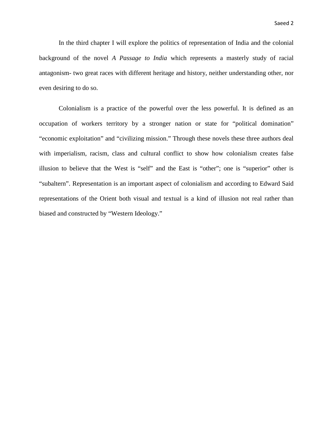In the third chapter I will explore the politics of representation of India and the colonial background of the novel *A Passage to India* which represents a masterly study of racial antagonism- two great races with different heritage and history, neither understanding other, nor even desiring to do so.

Colonialism is a practice of the powerful over the less powerful. It is defined as an occupation of workers territory by a stronger nation or state for "political domination" "economic exploitation" and "civilizing mission." Through these novels these three authors deal with imperialism, racism, class and cultural conflict to show how colonialism creates false illusion to believe that the West is "self" and the East is "other"; one is "superior" other is "subaltern". Representation is an important aspect of colonialism and according to Edward Said representations of the Orient both visual and textual is a kind of illusion not real rather than biased and constructed by "Western Ideology."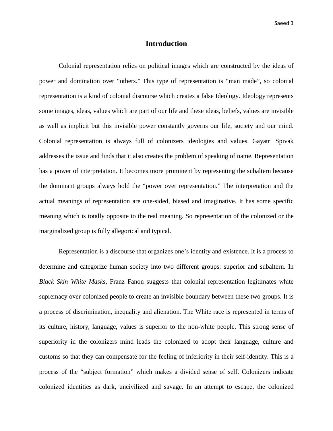#### **Introduction**

Colonial representation relies on political images which are constructed by the ideas of power and domination over "others." This type of representation is "man made", so colonial representation is a kind of colonial discourse which creates a false Ideology. Ideology represents some images, ideas, values which are part of our life and these ideas, beliefs, values are invisible as well as implicit but this invisible power constantly governs our life, society and our mind. Colonial representation is always full of colonizers ideologies and values. Gayatri Spivak addresses the issue and finds that it also creates the problem of speaking of name. Representation has a power of interpretation. It becomes more prominent by representing the subaltern because the dominant groups always hold the "power over representation." The interpretation and the actual meanings of representation are one-sided, biased and imaginative. It has some specific meaning which is totally opposite to the real meaning. So representation of the colonized or the marginalized group is fully allegorical and typical.

Representation is a discourse that organizes one's identity and existence. It is a process to determine and categorize human society into two different groups: superior and subaltern. In *Black Skin White Masks*, Franz Fanon suggests that colonial representation legitimates white supremacy over colonized people to create an invisible boundary between these two groups. It is a process of discrimination, inequality and alienation. The White race is represented in terms of its culture, history, language, values is superior to the non-white people. This strong sense of superiority in the colonizers mind leads the colonized to adopt their language, culture and customs so that they can compensate for the feeling of inferiority in their self-identity. This is a process of the "subject formation" which makes a divided sense of self. Colonizers indicate colonized identities as dark, uncivilized and savage. In an attempt to escape, the colonized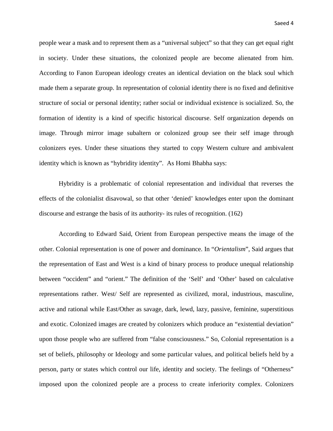people wear a mask and to represent them as a "universal subject" so that they can get equal right in society. Under these situations, the colonized people are become alienated from him. According to Fanon European ideology creates an identical deviation on the black soul which made them a separate group. In representation of colonial identity there is no fixed and definitive structure of social or personal identity; rather social or individual existence is socialized. So, the formation of identity is a kind of specific historical discourse. Self organization depends on image. Through mirror image subaltern or colonized group see their self image through colonizers eyes. Under these situations they started to copy Western culture and ambivalent identity which is known as "hybridity identity". As Homi Bhabha says:

Hybridity is a problematic of colonial representation and individual that reverses the effects of the colonialist disavowal, so that other 'denied' knowledges enter upon the dominant discourse and estrange the basis of its authority- its rules of recognition. (162)

According to Edward Said, Orient from European perspective means the image of the other. Colonial representation is one of power and dominance. In "*Orientalism*", Said argues that the representation of East and West is a kind of binary process to produce unequal relationship between "occident" and "orient." The definition of the 'Self' and 'Other' based on calculative representations rather. West/ Self are represented as civilized, moral, industrious, masculine, active and rational while East/Other as savage, dark, lewd, lazy, passive, feminine, superstitious and exotic. Colonized images are created by colonizers which produce an "existential deviation" upon those people who are suffered from "false consciousness." So, Colonial representation is a set of beliefs, philosophy or Ideology and some particular values, and political beliefs held by a person, party or states which control our life, identity and society. The feelings of "Otherness" imposed upon the colonized people are a process to create inferiority complex. Colonizers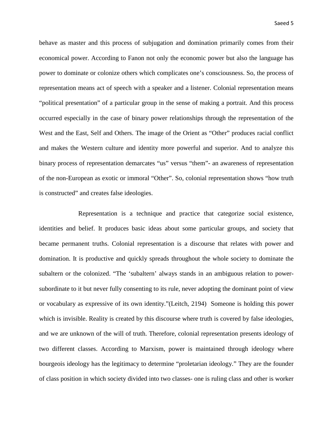behave as master and this process of subjugation and domination primarily comes from their economical power. According to Fanon not only the economic power but also the language has power to dominate or colonize others which complicates one's consciousness. So, the process of representation means act of speech with a speaker and a listener. Colonial representation means "political presentation" of a particular group in the sense of making a portrait. And this process occurred especially in the case of binary power relationships through the representation of the West and the East, Self and Others. The image of the Orient as "Other" produces racial conflict and makes the Western culture and identity more powerful and superior. And to analyze this binary process of representation demarcates "us" versus "them"- an awareness of representation of the non-European as exotic or immoral "Other". So, colonial representation shows "how truth is constructed" and creates false ideologies.

Representation is a technique and practice that categorize social existence, identities and belief. It produces basic ideas about some particular groups, and society that became permanent truths. Colonial representation is a discourse that relates with power and domination. It is productive and quickly spreads throughout the whole society to dominate the subaltern or the colonized. "The 'subaltern' always stands in an ambiguous relation to powersubordinate to it but never fully consenting to its rule, never adopting the dominant point of view or vocabulary as expressive of its own identity."(Leitch, 2194) Someone is holding this power which is invisible. Reality is created by this discourse where truth is covered by false ideologies, and we are unknown of the will of truth. Therefore, colonial representation presents ideology of two different classes. According to Marxism, power is maintained through ideology where bourgeois ideology has the legitimacy to determine "proletarian ideology." They are the founder of class position in which society divided into two classes- one is ruling class and other is worker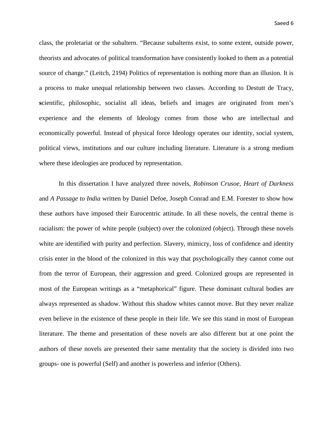class, the proletariat or the subaltern. "Because subalterns exist, to some extent, outside power, theorists and advocates of political transformation have consistently looked to them as a potential source of change." (Leitch, 2194) Politics of representation is nothing more than an illusion. It is a process to make unequal relationship between two classes. According to Destutt de Tracy, **s**cientific, philosophic, socialist all ideas, beliefs and images are originated from men's experience and the elements of Ideology comes from those who are intellectual and economically powerful. Instead of physical force Ideology operates our identity, social system, political views, institutions and our culture including literature. Literature is a strong medium where these ideologies are produced by representation.

In this dissertation I have analyzed three novels, *Robinson Crusoe*, *Heart of Darkness* and *A Passage to India* written by Daniel Defoe, Joseph Conrad and E.M. Forester to show how these authors have imposed their Eurocentric attitude. In all these novels, the central theme is racialism: the power of white people (subject) over the colonized (object). Through these novels white are identified with purity and perfection. Slavery, mimicry, loss of confidence and identity crisis enter in the blood of the colonized in this way that psychologically they cannot come out from the terror of European, their aggression and greed. Colonized groups are represented in most of the European writings as a "metaphorical" figure. These dominant cultural bodies are always represented as shadow. Without this shadow whites cannot move. But they never realize even believe in the existence of these people in their life. We see this stand in most of European literature. The theme and presentation of these novels are also different but at one point the authors of these novels are presented their same mentality that the society is divided into two groups- one is powerful (Self) and another is powerless and inferior (Others).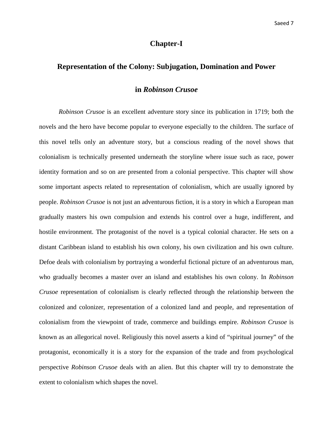#### **Chapter-I**

#### **Representation of the Colony: Subjugation, Domination and Power**

#### **in** *Robinson Crusoe*

*Robinson Crusoe* is an excellent adventure story since its publication in 1719; both the novels and the hero have become popular to everyone especially to the children. The surface of this novel tells only an adventure story, but a conscious reading of the novel shows that colonialism is technically presented underneath the storyline where issue such as race, power identity formation and so on are presented from a colonial perspective. This chapter will show some important aspects related to representation of colonialism, which are usually ignored by people. *Robinson Crusoe* is not just an adventurous fiction, it is a story in which a European man gradually masters his own compulsion and extends his control over a huge, indifferent, and hostile environment. The protagonist of the novel is a typical colonial character. He sets on a distant Caribbean island to establish his own colony, his own civilization and his own culture. Defoe deals with colonialism by portraying a wonderful fictional picture of an adventurous man, who gradually becomes a master over an island and establishes his own colony. In *Robinson Crusoe* representation of colonialism is clearly reflected through the relationship between the colonized and colonizer, representation of a colonized land and people, and representation of colonialism from the viewpoint of trade, commerce and buildings empire. *Robinson Crusoe* is known as an allegorical novel. Religiously this novel asserts a kind of "spiritual journey" of the protagonist, economically it is a story for the expansion of the trade and from psychological perspective *Robinson Crusoe* deals with an alien. But this chapter will try to demonstrate the extent to colonialism which shapes the novel.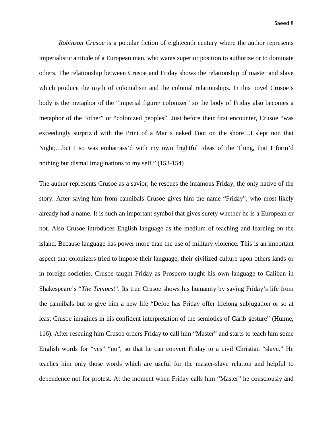*Robinson Crusoe* is a popular fiction of eighteenth century where the author represents imperialistic attitude of a European man, who wants superior position to authorize or to dominate others. The relationship between Crusoe and Friday shows the relationship of master and slave which produce the myth of colonialism and the colonial relationships. In this novel Crusoe's body is the metaphor of the "imperial figure/ colonizer" so the body of Friday also becomes a metaphor of the "other" or "colonized peoples". Just before their first encounter, Crusoe "was exceedingly surpriz'd with the Print of a Man's naked Foot on the shore…I slept non that Night;…but I so was embarrass'd with my own frightful Ideas of the Thing, that I form'd nothing but dismal Imaginations to my self." (153-154)

The author represents Crusoe as a savior; he rescues the infamous Friday, the only native of the story. After saving him from cannibals Crusoe gives him the name "Friday", who most likely already had a name. It is such an important symbol that gives surety whether he is a European or not. Also Crusoe introduces English language as the medium of teaching and learning on the island. Because language has power more than the use of military violence. This is an important aspect that colonizers tried to impose their language, their civilized culture upon others lands or in foreign societies. Crusoe taught Friday as Prospero taught his own language to Caliban in Shakespeare's "*The Tempest*". Its true Crusoe shows his humanity by saving Friday's life from the cannibals but to give him a new life "Defoe has Friday offer lifelong subjugation or so at least Crusoe imagines in his confident interpretation of the semiotics of Carib gesture" (Hulme, 116). After rescuing him Crusoe orders Friday to call him "Master" and starts to teach him some English words for "yes" "no", so that he can convert Friday to a civil Christian "slave." He teaches him only those words which are useful for the master-slave relation and helpful to dependence not for protest. At the moment when Friday calls him "Master" he consciously and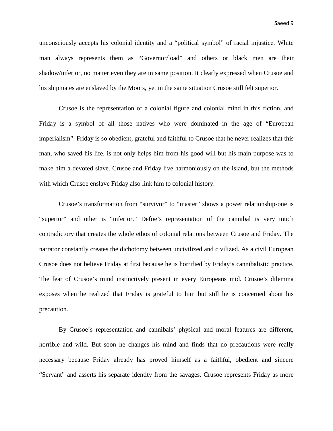unconsciously accepts his colonial identity and a "political symbol" of racial injustice. White man always represents them as "Governor/load" and others or black men are their shadow/inferior, no matter even they are in same position. It clearly expressed when Crusoe and his shipmates are enslaved by the Moors, yet in the same situation Crusoe still felt superior.

Crusoe is the representation of a colonial figure and colonial mind in this fiction, and Friday is a symbol of all those natives who were dominated in the age of "European imperialism". Friday is so obedient, grateful and faithful to Crusoe that he never realizes that this man, who saved his life, is not only helps him from his good will but his main purpose was to make him a devoted slave. Crusoe and Friday live harmoniously on the island, but the methods with which Crusoe enslave Friday also link him to colonial history.

Crusoe's transformation from "survivor" to "master" shows a power relationship-one is "superior" and other is "inferior." Defoe's representation of the cannibal is very much contradictory that creates the whole ethos of colonial relations between Crusoe and Friday. The narrator constantly creates the dichotomy between uncivilized and civilized. As a civil European Crusoe does not believe Friday at first because he is horrified by Friday's cannibalistic practice. The fear of Crusoe's mind instinctively present in every Europeans mid. Crusoe's dilemma exposes when he realized that Friday is grateful to him but still he is concerned about his precaution.

By Crusoe's representation and cannibals' physical and moral features are different, horrible and wild. But soon he changes his mind and finds that no precautions were really necessary because Friday already has proved himself as a faithful, obedient and sincere "Servant" and asserts his separate identity from the savages. Crusoe represents Friday as more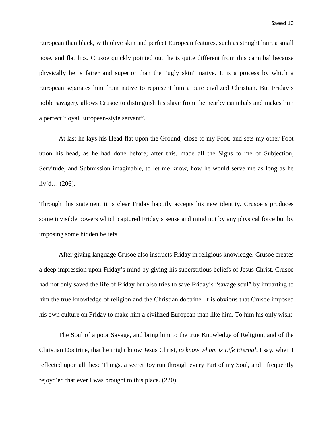European than black, with olive skin and perfect European features, such as straight hair, a small nose, and flat lips. Crusoe quickly pointed out, he is quite different from this cannibal because physically he is fairer and superior than the "ugly skin" native. It is a process by which a European separates him from native to represent him a pure civilized Christian. But Friday's noble savagery allows Crusoe to distinguish his slave from the nearby cannibals and makes him a perfect "loyal European-style servant".

At last he lays his Head flat upon the Ground, close to my Foot, and sets my other Foot upon his head, as he had done before; after this, made all the Signs to me of Subjection, Servitude, and Submission imaginable, to let me know, how he would serve me as long as he liv'd… (206).

Through this statement it is clear Friday happily accepts his new identity. Crusoe's produces some invisible powers which captured Friday's sense and mind not by any physical force but by imposing some hidden beliefs.

After giving language Crusoe also instructs Friday in religious knowledge. Crusoe creates a deep impression upon Friday's mind by giving his superstitious beliefs of Jesus Christ. Crusoe had not only saved the life of Friday but also tries to save Friday's "savage soul" by imparting to him the true knowledge of religion and the Christian doctrine. It is obvious that Crusoe imposed his own culture on Friday to make him a civilized European man like him. To him his only wish:

The Soul of a poor Savage, and bring him to the true Knowledge of Religion, and of the Christian Doctrine, that he might know Jesus Christ, *to know whom is Life Eternal*. I say, when I reflected upon all these Things, a secret Joy run through every Part of my Soul, and I frequently rejoyc'ed that ever I was brought to this place. (220)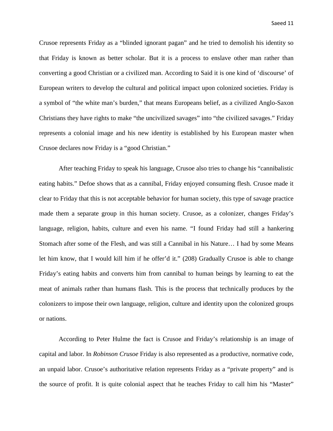Crusoe represents Friday as a "blinded ignorant pagan" and he tried to demolish his identity so that Friday is known as better scholar. But it is a process to enslave other man rather than converting a good Christian or a civilized man. According to Said it is one kind of 'discourse' of European writers to develop the cultural and political impact upon colonized societies. Friday is a symbol of "the white man's burden," that means Europeans belief, as a civilized Anglo-Saxon Christians they have rights to make "the uncivilized savages" into "the civilized savages." Friday represents a colonial image and his new identity is established by his European master when Crusoe declares now Friday is a "good Christian."

After teaching Friday to speak his language, Crusoe also tries to change his "cannibalistic eating habits." Defoe shows that as a cannibal, Friday enjoyed consuming flesh. Crusoe made it clear to Friday that this is not acceptable behavior for human society, this type of savage practice made them a separate group in this human society. Crusoe, as a colonizer, changes Friday's language, religion, habits, culture and even his name. "I found Friday had still a hankering Stomach after some of the Flesh, and was still a Cannibal in his Nature… I had by some Means let him know, that I would kill him if he offer'd it." (208) Gradually Crusoe is able to change Friday's eating habits and converts him from cannibal to human beings by learning to eat the meat of animals rather than humans flash. This is the process that technically produces by the colonizers to impose their own language, religion, culture and identity upon the colonized groups or nations.

According to Peter Hulme the fact is Crusoe and Friday's relationship is an image of capital and labor. In *Robinson Crusoe* Friday is also represented as a productive, normative code, an unpaid labor. Crusoe's authoritative relation represents Friday as a "private property" and is the source of profit. It is quite colonial aspect that he teaches Friday to call him his "Master"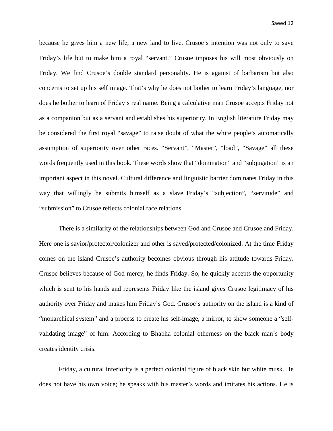because he gives him a new life, a new land to live. Crusoe's intention was not only to save Friday's life but to make him a royal "servant." Crusoe imposes his will most obviously on Friday. We find Crusoe's double standard personality. He is against of barbarism but also concerns to set up his self image. That's why he does not bother to learn Friday's language, nor does he bother to learn of Friday's real name. Being a calculative man Crusoe accepts Friday not as a companion but as a servant and establishes his superiority. In English literature Friday may be considered the first royal "savage" to raise doubt of what the white people's automatically assumption of superiority over other races. "Servant", "Master", "load", "Savage" all these words frequently used in this book. These words show that "domination" and "subjugation" is an important aspect in this novel. Cultural difference and linguistic barrier dominates Friday in this way that willingly he submits himself as a slave. Friday's "subjection", "servitude" and "submission" to Crusoe reflects colonial race relations.

There is a similarity of the relationships between God and Crusoe and Crusoe and Friday. Here one is savior/protector/colonizer and other is saved/protected/colonized. At the time Friday comes on the island Crusoe's authority becomes obvious through his attitude towards Friday. Crusoe believes because of God mercy, he finds Friday. So, he quickly accepts the opportunity which is sent to his hands and represents Friday like the island gives Crusoe legitimacy of his authority over Friday and makes him Friday's God. Crusoe's authority on the island is a kind of "monarchical system" and a process to create his self-image, a mirror, to show someone a "selfvalidating image" of him. According to Bhabha colonial otherness on the black man's body creates identity crisis.

Friday, a cultural inferiority is a perfect colonial figure of black skin but white musk. He does not have his own voice; he speaks with his master's words and imitates his actions. He is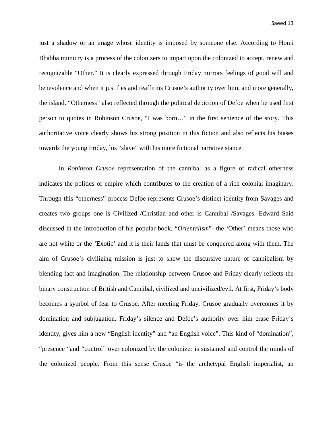just a shadow or an image whose identity is imposed by someone else. According to Homi Bhabha mimicry is a process of the colonizers to impart upon the colonized to accept, renew and recognizable "Other." It is clearly expressed through Friday mirrors feelings of good will and benevolence and when it justifies and reaffirms Crusoe's authority over him, and more generally, the island. "Otherness" also reflected through the political depiction of Defoe when he used first person to quotes in Robinson Crusoe, "I was born…" in the first sentence of the story. This authoritative voice clearly shows his strong position in this fiction and also reflects his biases towards the young Friday, his "slave" with his more fictional narrative stance.

In *Robinson Crusoe* representation of the cannibal as a figure of radical otherness indicates the politics of empire which contributes to the creation of a rich colonial imaginary. Through this "otherness" process Defoe represents Crusoe's distinct identity from Savages and creates two groups one is Civilized /Christian and other is Cannibal /Savages. Edward Said discussed in the Introduction of his popular book, "*Orientalism*"- the 'Other' means those who are not white or the 'Exotic' and it is their lands that must be conquered along with them. The aim of Crusoe's civilizing mission is just to show the discursive nature of cannibalism by blending fact and imagination. The relationship between Crusoe and Friday clearly reflects the binary construction of British and Cannibal, civilized and uncivilized/evil. At first, Friday's body becomes a symbol of fear to Crusoe. After meeting Friday, Crusoe gradually overcomes it by domination and subjugation. Friday's silence and Defoe's authority over him erase Friday's identity, gives him a new "English identity" and "an English voice". This kind of "domination", "presence "and "control" over colonized by the colonizer is sustained and control the minds of the colonized people. From this sense Crusoe "is the archetypal English imperialist, an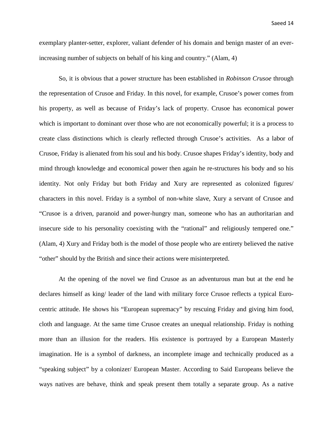exemplary planter-setter, explorer, valiant defender of his domain and benign master of an everincreasing number of subjects on behalf of his king and country." (Alam, 4)

So, it is obvious that a power structure has been established in *Robinson Crusoe* through the representation of Crusoe and Friday. In this novel, for example, Crusoe's power comes from his property, as well as because of Friday's lack of property. Crusoe has economical power which is important to dominant over those who are not economically powerful; it is a process to create class distinctions which is clearly reflected through Crusoe's activities. As a labor of Crusoe, Friday is alienated from his soul and his body. Crusoe shapes Friday's identity, body and mind through knowledge and economical power then again he re-structures his body and so his identity. Not only Friday but both Friday and Xury are represented as colonized figures/ characters in this novel. Friday is a symbol of non-white slave, Xury a servant of Crusoe and "Crusoe is a driven, paranoid and power-hungry man, someone who has an authoritarian and insecure side to his personality coexisting with the "rational" and religiously tempered one." (Alam, 4) Xury and Friday both is the model of those people who are entirety believed the native "other" should by the British and since their actions were misinterpreted.

 At the opening of the novel we find Crusoe as an adventurous man but at the end he declares himself as king/ leader of the land with military force Crusoe reflects a typical Eurocentric attitude. He shows his "European supremacy" by rescuing Friday and giving him food, cloth and language. At the same time Crusoe creates an unequal relationship. Friday is nothing more than an illusion for the readers. His existence is portrayed by a European Masterly imagination. He is a symbol of darkness, an incomplete image and technically produced as a "speaking subject" by a colonizer/ European Master. According to Said Europeans believe the ways natives are behave, think and speak present them totally a separate group. As a native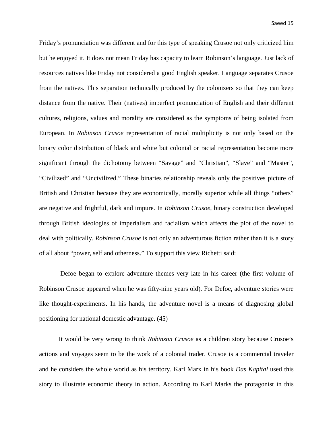Friday's pronunciation was different and for this type of speaking Crusoe not only criticized him but he enjoyed it. It does not mean Friday has capacity to learn Robinson's language. Just lack of resources natives like Friday not considered a good English speaker. Language separates Crusoe from the natives. This separation technically produced by the colonizers so that they can keep distance from the native. Their (natives) imperfect pronunciation of English and their different cultures, religions, values and morality are considered as the symptoms of being isolated from European. In *Robinson Crusoe* representation of racial multiplicity is not only based on the binary color distribution of black and white but colonial or racial representation become more significant through the dichotomy between "Savage" and "Christian", "Slave" and "Master", "Civilized" and "Uncivilized." These binaries relationship reveals only the positives picture of British and Christian because they are economically, morally superior while all things "others" are negative and frightful, dark and impure. In *Robinson Crusoe*, binary construction developed through British ideologies of imperialism and racialism which affects the plot of the novel to deal with politically. *Robinson Crusoe* is not only an adventurous fiction rather than it is a story of all about "power, self and otherness." To support this view Richetti said:

Defoe began to explore adventure themes very late in his career (the first volume of Robinson Crusoe appeared when he was fifty-nine years old). For Defoe, adventure stories were like thought-experiments. In his hands, the adventure novel is a means of diagnosing global positioning for national domestic advantage. (45)

 It would be very wrong to think *Robinson Crusoe* as a children story because Crusoe's actions and voyages seem to be the work of a colonial trader. Crusoe is a commercial traveler and he considers the whole world as his territory. Karl Marx in his book *Das Kapital* used this story to illustrate economic theory in action. According to Karl Marks the protagonist in this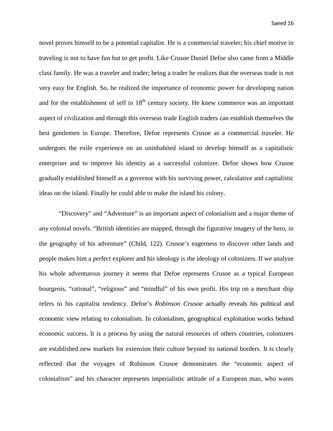novel proves himself to be a potential capitalist. He is a commercial traveler; his chief motive in traveling is not to have fun but to get profit. Like Crusoe Daniel Defoe also came from a Middle class family. He was a traveler and trader; being a trader he realizes that the overseas trade is not very easy for English. So, he realized the importance of economic power for developing nation and for the establishment of self in  $18<sup>th</sup>$  century society. He knew commerce was an important aspect of civilization and through this overseas trade English traders can establish themselves the best gentlemen in Europe. Therefore, Defoe represents Crusoe as a commercial traveler. He undergoes the exile experience on an uninhabited island to develop himself as a capitalistic enterpriser and to improve his identity as a successful colonizer. Defoe shows how Crusoe gradually established himself as a governor with his surviving power, calculative and capitalistic ideas on the island. Finally he could able to make the island his colony.

"Discovery" and "Adventure" is an important aspect of colonialism and a major theme of any colonial novels. "British identities are mapped, through the figurative imagery of the hero, in the geography of his adventure" (Child, 122). Crusoe's eagerness to discover other lands and people makes him a perfect explorer and his ideology is the ideology of colonizers. If we analyze his whole adventurous journey it seems that Defoe represents Crusoe as a typical European bourgeois, "rational", "religious" and "mindful" of his own profit. His trip on a merchant ship refers to his capitalist tendency. Defoe's *Robinson Crusoe* actually reveals his political and economic view relating to colonialism. In colonialism, geographical exploitation works behind economic success. It is a process by using the natural resources of others countries, colonizers are established new markets for extension their culture beyond its national borders. It is clearly reflected that the voyages of Robinson Crusoe demonstrates the "economic aspect of colonialism" and his character represents imperialistic attitude of a European man, who wants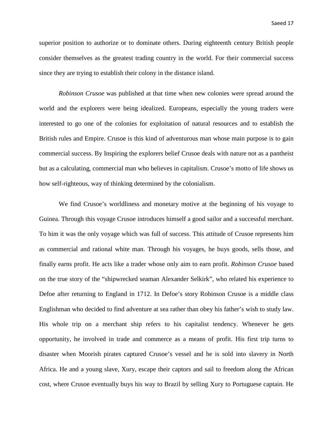superior position to authorize or to dominate others. During eighteenth century British people consider themselves as the greatest trading country in the world. For their commercial success since they are trying to establish their colony in the distance island.

*Robinson Crusoe* was published at that time when new colonies were spread around the world and the explorers were being idealized. Europeans, especially the young traders were interested to go one of the colonies for exploitation of natural resources and to establish the British rules and Empire. Crusoe is this kind of adventurous man whose main purpose is to gain commercial success. By Inspiring the explorers belief Crusoe deals with nature not as a pantheist but as a calculating, commercial man who believes in capitalism. Crusoe's motto of life shows us how self-righteous, way of thinking determined by the colonialism.

We find Crusoe's worldliness and monetary motive at the beginning of his voyage to Guinea. Through this voyage Crusoe introduces himself a good sailor and a successful merchant. To him it was the only voyage which was full of success. This attitude of Crusoe represents him as commercial and rational white man. Through his voyages, he buys goods, sells those, and finally earns profit. He acts like a trader whose only aim to earn profit. *Robinson Crusoe* based on the true story of the "shipwrecked seaman Alexander Selkirk", who related his experience to Defoe after returning to England in 1712. In Defoe's story Robinson Crusoe is a middle class Englishman who decided to find adventure at sea rather than obey his father's wish to study law. His whole trip on a merchant ship refers to his capitalist tendency. Whenever he gets opportunity, he involved in trade and commerce as a means of profit. His first trip turns to disaster when Moorish pirates captured Crusoe's vessel and he is sold into slavery in North Africa. He and a young slave, Xury, escape their captors and sail to freedom along the African cost, where Crusoe eventually buys his way to Brazil by selling Xury to Portuguese captain. He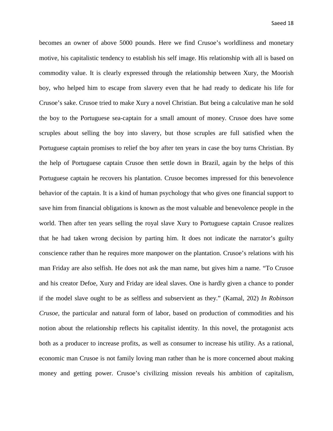becomes an owner of above 5000 pounds. Here we find Crusoe's worldliness and monetary motive, his capitalistic tendency to establish his self image. His relationship with all is based on commodity value. It is clearly expressed through the relationship between Xury, the Moorish boy, who helped him to escape from slavery even that he had ready to dedicate his life for Crusoe's sake. Crusoe tried to make Xury a novel Christian. But being a calculative man he sold the boy to the Portuguese sea-captain for a small amount of money. Crusoe does have some scruples about selling the boy into slavery, but those scruples are full satisfied when the Portuguese captain promises to relief the boy after ten years in case the boy turns Christian. By the help of Portuguese captain Crusoe then settle down in Brazil, again by the helps of this Portuguese captain he recovers his plantation. Crusoe becomes impressed for this benevolence behavior of the captain. It is a kind of human psychology that who gives one financial support to save him from financial obligations is known as the most valuable and benevolence people in the world. Then after ten years selling the royal slave Xury to Portuguese captain Crusoe realizes that he had taken wrong decision by parting him. It does not indicate the narrator's guilty conscience rather than he requires more manpower on the plantation. Crusoe's relations with his man Friday are also selfish. He does not ask the man name, but gives him a name. "To Crusoe and his creator Defoe, Xury and Friday are ideal slaves. One is hardly given a chance to ponder if the model slave ought to be as selfless and subservient as they." (Kamal, 202) *In Robinson Crusoe*, the particular and natural form of labor, based on production of commodities and his notion about the relationship reflects his capitalist identity. In this novel, the protagonist acts both as a producer to increase profits, as well as consumer to increase his utility. As a rational, economic man Crusoe is not family loving man rather than he is more concerned about making money and getting power. Crusoe's civilizing mission reveals his ambition of capitalism,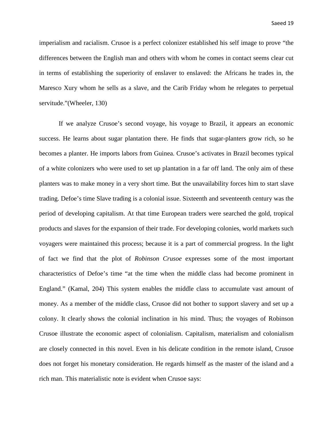imperialism and racialism. Crusoe is a perfect colonizer established his self image to prove "the differences between the English man and others with whom he comes in contact seems clear cut in terms of establishing the superiority of enslaver to enslaved: the Africans he trades in, the Maresco Xury whom he sells as a slave, and the Carib Friday whom he relegates to perpetual servitude."(Wheeler, 130)

If we analyze Crusoe's second voyage, his voyage to Brazil, it appears an economic success. He learns about sugar plantation there. He finds that sugar-planters grow rich, so he becomes a planter. He imports labors from Guinea. Crusoe's activates in Brazil becomes typical of a white colonizers who were used to set up plantation in a far off land. The only aim of these planters was to make money in a very short time. But the unavailability forces him to start slave trading. Defoe's time Slave trading is a colonial issue. Sixteenth and seventeenth century was the period of developing capitalism. At that time European traders were searched the gold, tropical products and slaves for the expansion of their trade. For developing colonies, world markets such voyagers were maintained this process; because it is a part of commercial progress. In the light of fact we find that the plot of *Robinson Crusoe* expresses some of the most important characteristics of Defoe's time "at the time when the middle class had become prominent in England." (Kamal, 204) This system enables the middle class to accumulate vast amount of money. As a member of the middle class, Crusoe did not bother to support slavery and set up a colony. It clearly shows the colonial inclination in his mind. Thus; the voyages of Robinson Crusoe illustrate the economic aspect of colonialism. Capitalism, materialism and colonialism are closely connected in this novel. Even in his delicate condition in the remote island, Crusoe does not forget his monetary consideration. He regards himself as the master of the island and a rich man. This materialistic note is evident when Crusoe says: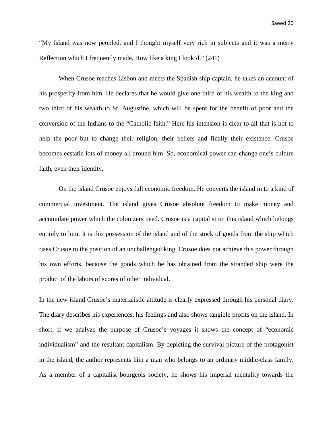"My Island was now peopled, and I thought myself very rich in subjects and it was a merry Reflection which I frequently made, How like a king I look'd." (241)

When Crusoe reaches Lisbon and meets the Spanish ship captain, he takes an account of his prosperity from him. He declares that he would give one-third of his wealth to the king and two third of his wealth to St. Augustine, which will be spent for the benefit of poor and the conversion of the Indians to the "Catholic faith." Here his intension is clear to all that is not to help the poor but to change their religion, their beliefs and finally their existence. Crusoe becomes ecstatic lots of money all around him. So, economical power can change one's culture faith, even their identity.

On the island Crusoe enjoys full economic freedom. He converts the island in to a kind of commercial investment. The island gives Crusoe absolute freedom to make money and accumulate power which the colonizers need. Crusoe is a capitalist on this island which belongs entirely to him. It is this possession of the island and of the stock of goods from the ship which rises Crusoe to the position of an unchallenged king. Crusoe does not achieve this power through his own efforts, because the goods which he has obtained from the stranded ship were the product of the labors of scores of other individual.

In the new island Crusoe's materialistic attitude is clearly expressed through his personal diary. The diary describes his experiences, his feelings and also shows tangible profits on the island. In short, if we analyze the purpose of Crusoe's voyages it shows the concept of "economic individualism" and the resultant capitalism. By depicting the survival picture of the protagonist in the island, the author represents him a man who belongs to an ordinary middle-class family. As a member of a capitalist bourgeois society, he shows his imperial mentality towards the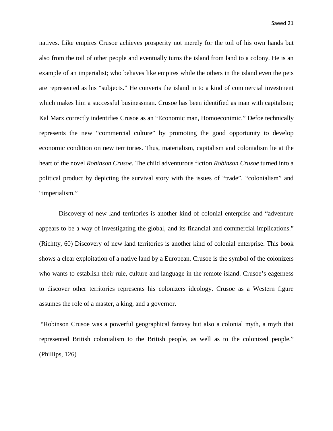natives. Like empires Crusoe achieves prosperity not merely for the toil of his own hands but also from the toil of other people and eventually turns the island from land to a colony. He is an example of an imperialist; who behaves like empires while the others in the island even the pets are represented as his "subjects." He converts the island in to a kind of commercial investment which makes him a successful businessman. Crusoe has been identified as man with capitalism; Kal Marx correctly indentifies Crusoe as an "Economic man, Homoeconimic." Defoe technically represents the new "commercial culture" by promoting the good opportunity to develop economic condition on new territories. Thus, materialism, capitalism and colonialism lie at the heart of the novel *Robinson Crusoe*. The child adventurous fiction *Robinson Crusoe* turned into a political product by depicting the survival story with the issues of "trade", "colonialism" and "imperialism."

Discovery of new land territories is another kind of colonial enterprise and "adventure appears to be a way of investigating the global, and its financial and commercial implications." (Richtty, 60) Discovery of new land territories is another kind of colonial enterprise. This book shows a clear exploitation of a native land by a European. Crusoe is the symbol of the colonizers who wants to establish their rule, culture and language in the remote island. Crusoe's eagerness to discover other territories represents his colonizers ideology. Crusoe as a Western figure assumes the role of a master, a king, and a governor.

"Robinson Crusoe was a powerful geographical fantasy but also a colonial myth, a myth that represented British colonialism to the British people, as well as to the colonized people." (Phillips, 126)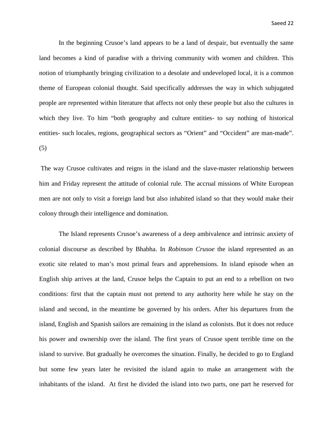In the beginning Crusoe's land appears to be a land of despair, but eventually the same land becomes a kind of paradise with a thriving community with women and children. This notion of triumphantly bringing civilization to a desolate and undeveloped local, it is a common theme of European colonial thought. Said specifically addresses the way in which subjugated people are represented within literature that affects not only these people but also the cultures in which they live. To him "both geography and culture entities- to say nothing of historical entities- such locales, regions, geographical sectors as "Orient" and "Occident" are man-made". (5)

The way Crusoe cultivates and reigns in the island and the slave-master relationship between him and Friday represent the attitude of colonial rule. The accrual missions of White European men are not only to visit a foreign land but also inhabited island so that they would make their colony through their intelligence and domination.

The Island represents Crusoe's awareness of a deep ambivalence and intrinsic anxiety of colonial discourse as described by Bhabha. In *Robinson Crusoe* the island represented as an exotic site related to man's most primal fears and apprehensions. In island episode when an English ship arrives at the land, Crusoe helps the Captain to put an end to a rebellion on two conditions: first that the captain must not pretend to any authority here while he stay on the island and second, in the meantime be governed by his orders. After his departures from the island, English and Spanish sailors are remaining in the island as colonists. But it does not reduce his power and ownership over the island. The first years of Crusoe spent terrible time on the island to survive. But gradually he overcomes the situation. Finally, he decided to go to England but some few years later he revisited the island again to make an arrangement with the inhabitants of the island. At first he divided the island into two parts, one part he reserved for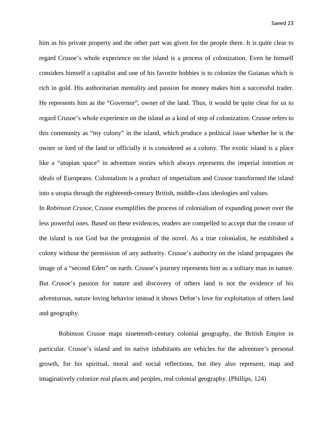him as his private property and the other part was given for the people there. It is quite clear to regard Crusoe's whole experience on the island is a process of colonization. Even he himself considers himself a capitalist and one of his favorite hobbies is to colonize the Guianas which is rich in gold. His authoritarian mentality and passion for money makes him a successful trader. He represents him as the "Governor", owner of the land. Thus, it would be quite clear for us to regard Crusoe's whole experience on the island as a kind of step of colonization. Crusoe refers to this community as "my colony" in the island, which produce a political issue whether he is the owner or lord of the land or officially it is considered as a colony. The exotic island is a place like a "utopian space" in adventure stories which always represents the imperial intention or ideals of Europeans. Colonialism is a product of imperialism and Crusoe transformed the island into a utopia through the eighteenth-century British, middle-class ideologies and values.

In *Robinson Crusoe*, Crusoe exemplifies the process of colonialism of expanding power over the less powerful ones. Based on these evidences, readers are compelled to accept that the creator of the island is not God but the protagonist of the novel. As a true colonialist, he established a colony without the permission of any authority. Crusoe's authority on the island propagates the image of a "second Eden" on earth. Crusoe's journey represents him as a solitary man in nature. But Crusoe's passion for nature and discovery of others land is not the evidence of his adventurous, nature loving behavior instead it shows Defoe's love for exploitation of others land and geography.

Robinson Crusoe maps nineteenth-century colonial geography, the British Empire in particular. Crusoe's island and its native inhabitants are vehicles for the adventure's personal growth, for his spiritual, moral and social reflections, but they also represent, map and imaginatively colonize real places and peoples, real colonial geography. (Phillips, 124)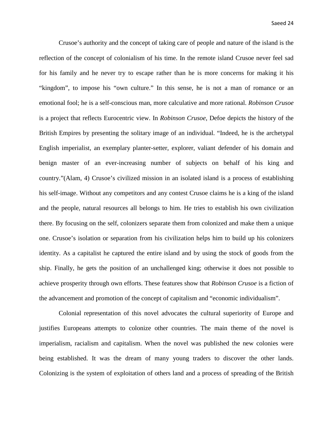Crusoe's authority and the concept of taking care of people and nature of the island is the reflection of the concept of colonialism of his time. In the remote island Crusoe never feel sad for his family and he never try to escape rather than he is more concerns for making it his "kingdom", to impose his "own culture." In this sense, he is not a man of romance or an emotional fool; he is a self-conscious man, more calculative and more rational. *Robinson Crusoe*  is a project that reflects Eurocentric view. In *Robinson Crusoe*, Defoe depicts the history of the British Empires by presenting the solitary image of an individual. "Indeed, he is the archetypal English imperialist, an exemplary planter-setter, explorer, valiant defender of his domain and benign master of an ever-increasing number of subjects on behalf of his king and country."(Alam, 4) Crusoe's civilized mission in an isolated island is a process of establishing his self-image. Without any competitors and any contest Crusoe claims he is a king of the island and the people, natural resources all belongs to him. He tries to establish his own civilization there. By focusing on the self, colonizers separate them from colonized and make them a unique one. Crusoe's isolation or separation from his civilization helps him to build up his colonizers identity. As a capitalist he captured the entire island and by using the stock of goods from the ship. Finally, he gets the position of an unchallenged king; otherwise it does not possible to achieve prosperity through own efforts. These features show that *Robinson Crusoe* is a fiction of the advancement and promotion of the concept of capitalism and "economic individualism".

Colonial representation of this novel advocates the cultural superiority of Europe and justifies Europeans attempts to colonize other countries. The main theme of the novel is imperialism, racialism and capitalism. When the novel was published the new colonies were being established. It was the dream of many young traders to discover the other lands. Colonizing is the system of exploitation of others land and a process of spreading of the British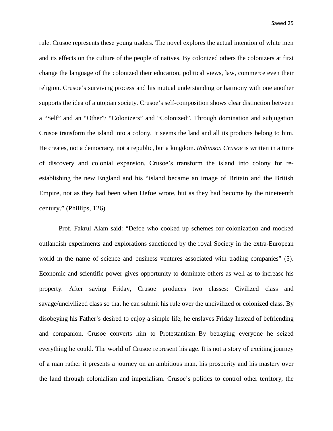rule. Crusoe represents these young traders. The novel explores the actual intention of white men and its effects on the culture of the people of natives. By colonized others the colonizers at first change the language of the colonized their education, political views, law, commerce even their religion. Crusoe's surviving process and his mutual understanding or harmony with one another supports the idea of a utopian society. Crusoe's self-composition shows clear distinction between a "Self" and an "Other"/ "Colonizers" and "Colonized". Through domination and subjugation Crusoe transform the island into a colony. It seems the land and all its products belong to him. He creates, not a democracy, not a republic, but a kingdom. *Robinson Crusoe* is written in a time of discovery and colonial expansion. Crusoe's transform the island into colony for reestablishing the new England and his "island became an image of Britain and the British Empire, not as they had been when Defoe wrote, but as they had become by the nineteenth century." (Phillips, 126)

Prof. Fakrul Alam said: "Defoe who cooked up schemes for colonization and mocked outlandish experiments and explorations sanctioned by the royal Society in the extra-European world in the name of science and business ventures associated with trading companies" (5). Economic and scientific power gives opportunity to dominate others as well as to increase his property. After saving Friday, Crusoe produces two classes: Civilized class and savage/uncivilized class so that he can submit his rule over the uncivilized or colonized class. By disobeying his Father's desired to enjoy a simple life, he enslaves Friday Instead of befriending and companion. Crusoe converts him to Protestantism. By betraying everyone he seized everything he could. The world of Crusoe represent his age. It is not a story of exciting journey of a man rather it presents a journey on an ambitious man, his prosperity and his mastery over the land through colonialism and imperialism. Crusoe's politics to control other territory, the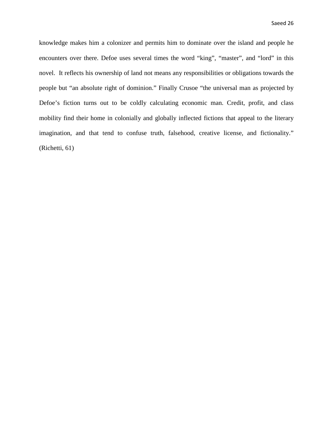knowledge makes him a colonizer and permits him to dominate over the island and people he encounters over there. Defoe uses several times the word "king", "master", and "lord" in this novel. It reflects his ownership of land not means any responsibilities or obligations towards the people but "an absolute right of dominion." Finally Crusoe "the universal man as projected by Defoe's fiction turns out to be coldly calculating economic man. Credit, profit, and class mobility find their home in colonially and globally inflected fictions that appeal to the literary imagination, and that tend to confuse truth, falsehood, creative license, and fictionality." (Richetti, 61)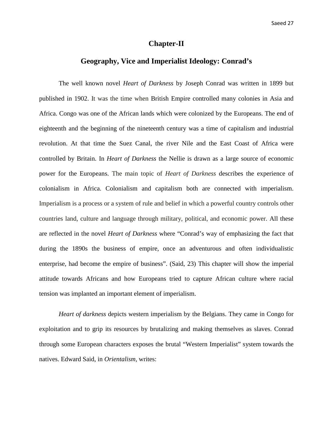#### **Chapter-II**

#### **Geography, Vice and Imperialist Ideology: Conrad's**

The well known novel *Heart of Darkness* by Joseph Conrad was written in 1899 but published in 1902. It was the time when British Empire controlled many colonies in Asia and Africa. Congo was one of the African lands which were colonized by the Europeans. The end of eighteenth and the beginning of the nineteenth century was a time of capitalism and industrial revolution. At that time the Suez Canal, the river Nile and the East Coast of Africa were controlled by Britain. In *Heart of Darkness* the Nellie is drawn as a large source of economic power for the Europeans. The main topic of *Heart of Darkness* describes the experience of colonialism in Africa. Colonialism and capitalism both are connected with imperialism. Imperialism is a process or a system of rule and belief in which a powerful country controls other countries land, culture and language through military, political, and economic power. All these are reflected in the novel *Heart of Darkness* where "Conrad's way of emphasizing the fact that during the 1890s the business of empire, once an adventurous and often individualistic enterprise, had become the empire of business". (Said, 23) This chapter will show the imperial attitude towards Africans and how Europeans tried to capture African culture where racial tension was implanted an important element of imperialism.

*Heart of darkness* depicts western imperialism by the Belgians. They came in Congo for exploitation and to grip its resources by brutalizing and making themselves as slaves. Conrad through some European characters exposes the brutal "Western Imperialist" system towards the natives. Edward Said, in *Orientalism,* writes: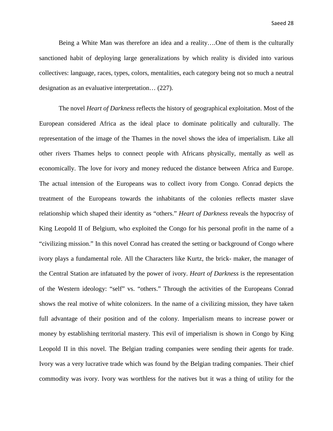Being a White Man was therefore an idea and a reality….One of them is the culturally sanctioned habit of deploying large generalizations by which reality is divided into various collectives: language, races, types, colors, mentalities, each category being not so much a neutral designation as an evaluative interpretation… (227).

The novel *Heart of Darkness* reflects the history of geographical exploitation. Most of the European considered Africa as the ideal place to dominate politically and culturally. The representation of the image of the Thames in the novel shows the idea of imperialism. Like all other rivers Thames helps to connect people with Africans physically, mentally as well as economically. The love for ivory and money reduced the distance between Africa and Europe. The actual intension of the Europeans was to collect ivory from Congo. Conrad depicts the treatment of the Europeans towards the inhabitants of the colonies reflects master slave relationship which shaped their identity as "others." *Heart of Darkness* reveals the hypocrisy of King Leopold II of Belgium, who exploited the Congo for his personal profit in the name of a "civilizing mission." In this novel Conrad has created the setting or background of Congo where ivory plays a fundamental role. All the Characters like Kurtz, the brick- maker, the manager of the Central Station are infatuated by the power of ivory. *Heart of Darkness* is the representation of the Western ideology: "self" vs. "others." Through the activities of the Europeans Conrad shows the real motive of white colonizers. In the name of a civilizing mission, they have taken full advantage of their position and of the colony. Imperialism means to increase power or money by establishing territorial mastery. This evil of imperialism is shown in Congo by King Leopold II in this novel. The Belgian trading companies were sending their agents for trade. Ivory was a very lucrative trade which was found by the Belgian trading companies. Their chief commodity was ivory. Ivory was worthless for the natives but it was a thing of utility for the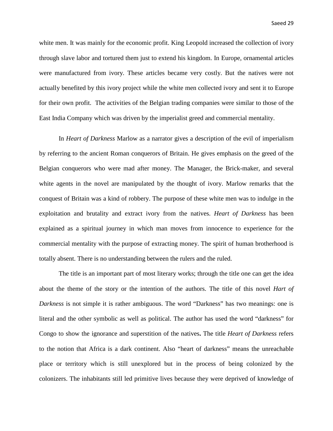white men. It was mainly for the economic profit. King Leopold increased the collection of ivory through slave labor and tortured them just to extend his kingdom. In Europe, ornamental articles were manufactured from ivory. These articles became very costly. But the natives were not actually benefited by this ivory project while the white men collected ivory and sent it to Europe for their own profit. The activities of the Belgian trading companies were similar to those of the East India Company which was driven by the imperialist greed and commercial mentality.

In *Heart of Darkness* Marlow as a narrator gives a description of the evil of imperialism by referring to the ancient Roman conquerors of Britain. He gives emphasis on the greed of the Belgian conquerors who were mad after money. The Manager, the Brick-maker, and several white agents in the novel are manipulated by the thought of ivory. Marlow remarks that the conquest of Britain was a kind of robbery. The purpose of these white men was to indulge in the exploitation and brutality and extract ivory from the natives. *Heart of Darkness* has been explained as a spiritual journey in which man moves from innocence to experience for the commercial mentality with the purpose of extracting money. The spirit of human brotherhood is totally absent. There is no understanding between the rulers and the ruled.

The title is an important part of most literary works; through the title one can get the idea about the theme of the story or the intention of the authors. The title of this novel *Hart of Darkness* is not simple it is rather ambiguous. The word "Darkness" has two meanings: one is literal and the other symbolic as well as political. The author has used the word "darkness" for Congo to show the ignorance and superstition of the natives**.** The title *Heart of Darkness* refers to the notion that Africa is a dark continent. Also "heart of darkness" means the unreachable place or territory which is still unexplored but in the process of being colonized by the colonizers. The inhabitants still led primitive lives because they were deprived of knowledge of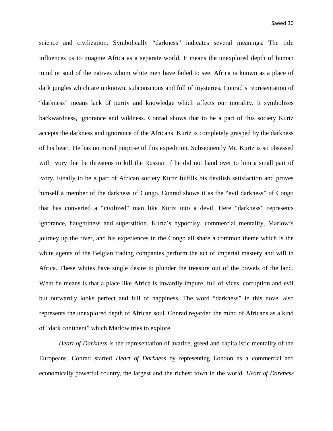science and civilization. Symbolically "darkness" indicates several meanings. The title influences us to imagine Africa as a separate world. It means the unexplored depth of human mind or soul of the natives whom white men have failed to see. Africa is known as a place of dark jungles which are unknown, subconscious and full of mysteries. Conrad's representation of "darkness" means lack of purity and knowledge which affects our morality. It symbolizes backwardness, ignorance and wildness. Conrad shows that to be a part of this society Kurtz accepts the darkness and ignorance of the Africans. Kurtz is completely grasped by the darkness of his heart. He has no moral purpose of this expedition. Subsequently Mr. Kurtz is so obsessed with ivory that he threatens to kill the Russian if he did not hand over to him a small part of ivory. Finally to be a part of African society Kurtz fulfills his devilish satisfaction and proves himself a member of the darkness of Congo. Conrad shows it as the "evil darkness" of Congo that has converted a "civilized" man like Kurtz into a devil. Here "darkness" represents ignorance, haughtiness and superstition. Kurtz's hypocrisy, commercial mentality, Marlow's journey up the river, and his experiences in the Congo all share a common theme which is the white agents of the Belgian trading companies perform the act of imperial mastery and will in Africa. These whites have single desire to plunder the treasure out of the bowels of the land. What he means is that a place like Africa is inwardly impure, full of vices, corruption and evil but outwardly looks perfect and full of happiness. The word "darkness" in this novel also represents the unexplored depth of African soul. Conrad regarded the mind of Africans as a kind of "dark continent" which Marlow tries to explore.

*Heart of Darkness* is the representation of avarice, greed and capitalistic mentality of the Europeans. Conrad started *Heart of Darkness* by representing London as a commercial and economically powerful country, the largest and the richest town in the world. *Heart of Darkness*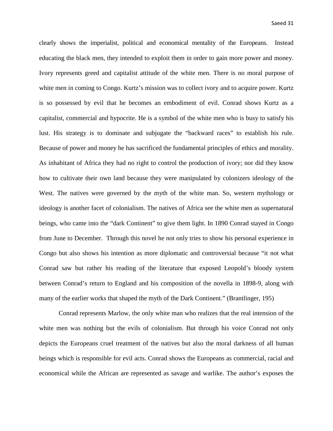clearly shows the imperialist, political and economical mentality of the Europeans. Instead educating the black men, they intended to exploit them in order to gain more power and money. Ivory represents greed and capitalist attitude of the white men. There is no moral purpose of white men in coming to Congo. Kurtz's mission was to collect ivory and to acquire power. Kurtz is so possessed by evil that he becomes an embodiment of evil. Conrad shows Kurtz as a capitalist, commercial and hypocrite. He is a symbol of the white men who is busy to satisfy his lust. His strategy is to dominate and subjugate the "backward races" to establish his rule. Because of power and money he has sacrificed the fundamental principles of ethics and morality. As inhabitant of Africa they had no right to control the production of ivory; nor did they know how to cultivate their own land because they were manipulated by colonizers ideology of the West. The natives were governed by the myth of the white man. So, western mythology or ideology is another facet of colonialism. The natives of Africa see the white men as supernatural beings, who came into the "dark Continent" to give them light. In 1890 Conrad stayed in Congo from June to December. Through this novel he not only tries to show his personal experience in Congo but also shows his intention as more diplomatic and controversial because "it not what Conrad saw but rather his reading of the literature that exposed Leopold's bloody system between Conrad's return to England and his composition of the novella in 1898-9, along with many of the earlier works that shaped the myth of the Dark Continent." (Brantlinger, 195)

Conrad represents Marlow, the only white man who realizes that the real intension of the white men was nothing but the evils of colonialism. But through his voice Conrad not only depicts the Europeans cruel treatment of the natives but also the moral darkness of all human beings which is responsible for evil acts. Conrad shows the Europeans as commercial, racial and economical while the African are represented as savage and warlike. The author's exposes the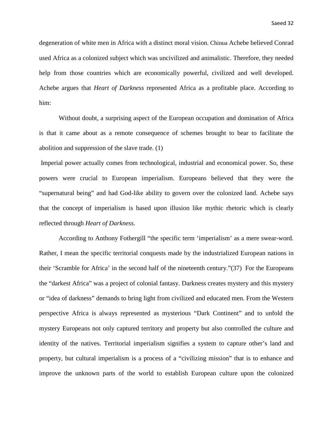degeneration of white men in Africa with a distinct moral vision. Chinua Achebe believed Conrad used Africa as a colonized subject which was uncivilized and animalistic. Therefore, they needed help from those countries which are economically powerful, civilized and well developed. Achebe argues that *Heart of Darkness* represented Africa as a profitable place. According to him:

Without doubt, a surprising aspect of the European occupation and domination of Africa is that it came about as a remote consequence of schemes brought to bear to facilitate the abolition and suppression of the slave trade. (1)

Imperial power actually comes from technological, industrial and economical power. So, these powers were crucial to European imperialism. Europeans believed that they were the "supernatural being" and had God-like ability to govern over the colonized land. Achebe says that the concept of imperialism is based upon illusion like mythic rhetoric which is clearly reflected through *Heart of Darkness*.

According to Anthony Fothergill "the specific term 'imperialism' as a mere swear-word. Rather, I mean the specific territorial conquests made by the industrialized European nations in their 'Scramble for Africa' in the second half of the nineteenth century."(37) For the Europeans the "darkest Africa" was a project of colonial fantasy. Darkness creates mystery and this mystery or "idea of darkness" demands to bring light from civilized and educated men. From the Western perspective Africa is always represented as mysterious "Dark Continent" and to unfold the mystery Europeans not only captured territory and property but also controlled the culture and identity of the natives. Territorial imperialism signifies a system to capture other's land and property, but cultural imperialism is a process of a "civilizing mission" that is to enhance and improve the unknown parts of the world to establish European culture upon the colonized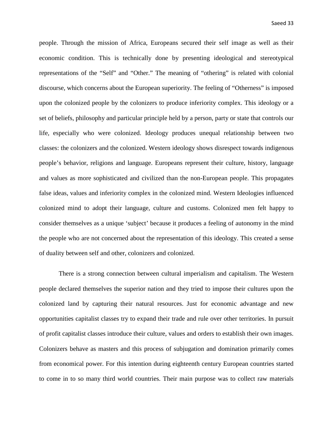people. Through the mission of Africa, Europeans secured their self image as well as their economic condition. This is technically done by presenting ideological and stereotypical representations of the "Self" and "Other." The meaning of "othering" is related with colonial discourse, which concerns about the European superiority. The feeling of "Otherness" is imposed upon the colonized people by the colonizers to produce inferiority complex. This ideology or a set of beliefs, philosophy and particular principle held by a person, party or state that controls our life, especially who were colonized. Ideology produces unequal relationship between two classes: the colonizers and the colonized. Western ideology shows disrespect towards indigenous people's behavior, religions and language. Europeans represent their culture, history, language and values as more sophisticated and civilized than the non-European people. This propagates false ideas, values and inferiority complex in the colonized mind. Western Ideologies influenced colonized mind to adopt their language, culture and customs. Colonized men felt happy to consider themselves as a unique 'subject' because it produces a feeling of autonomy in the mind the people who are not concerned about the representation of this ideology. This created a sense of duality between self and other, colonizers and colonized.

There is a strong connection between cultural imperialism and capitalism. The Western people declared themselves the superior nation and they tried to impose their cultures upon the colonized land by capturing their natural resources. Just for economic advantage and new opportunities capitalist classes try to expand their trade and rule over other territories. In pursuit of profit capitalist classes introduce their culture, values and orders to establish their own images. Colonizers behave as masters and this process of subjugation and domination primarily comes from economical power. For this intention during eighteenth century European countries started to come in to so many third world countries. Their main purpose was to collect raw materials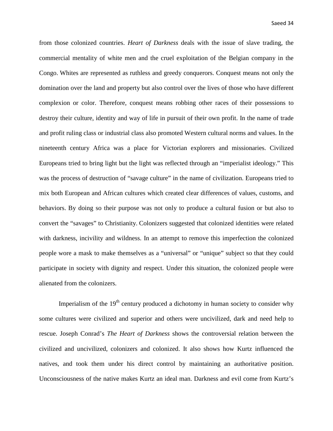from those colonized countries. *Heart of Darkness* deals with the issue of slave trading, the commercial mentality of white men and the cruel exploitation of the Belgian company in the Congo. Whites are represented as ruthless and greedy conquerors. Conquest means not only the domination over the land and property but also control over the lives of those who have different complexion or color. Therefore, conquest means robbing other races of their possessions to destroy their culture, identity and way of life in pursuit of their own profit. In the name of trade and profit ruling class or industrial class also promoted Western cultural norms and values. In the nineteenth century Africa was a place for Victorian explorers and missionaries. Civilized Europeans tried to bring light but the light was reflected through an "imperialist ideology." This was the process of destruction of "savage culture" in the name of civilization. Europeans tried to mix both European and African cultures which created clear differences of values, customs, and behaviors. By doing so their purpose was not only to produce a cultural fusion or but also to convert the "savages" to Christianity. Colonizers suggested that colonized identities were related with darkness, incivility and wildness. In an attempt to remove this imperfection the colonized people wore a mask to make themselves as a "universal" or "unique" subject so that they could participate in society with dignity and respect. Under this situation, the colonized people were alienated from the colonizers.

Imperialism of the  $19<sup>th</sup>$  century produced a dichotomy in human society to consider why some cultures were civilized and superior and others were uncivilized, dark and need help to rescue. Joseph Conrad's *The Heart of Darkness* shows the controversial relation between the civilized and uncivilized, colonizers and colonized. It also shows how Kurtz influenced the natives, and took them under his direct control by maintaining an authoritative position. Unconsciousness of the native makes Kurtz an ideal man. Darkness and evil come from Kurtz's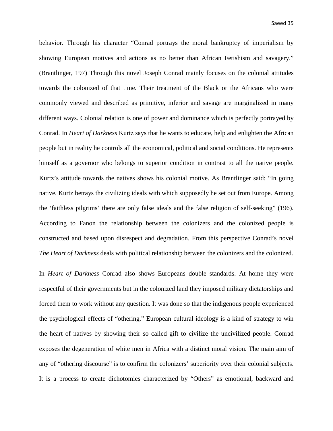behavior. Through his character "Conrad portrays the moral bankruptcy of imperialism by showing European motives and actions as no better than African Fetishism and savagery." (Brantlinger, 197) Through this novel Joseph Conrad mainly focuses on the colonial attitudes towards the colonized of that time. Their treatment of the Black or the Africans who were commonly viewed and described as primitive, inferior and savage are marginalized in many different ways. Colonial relation is one of power and dominance which is perfectly portrayed by Conrad. In *Heart of Darkness* Kurtz says that he wants to educate, help and enlighten the African people but in reality he controls all the economical, political and social conditions. He represents himself as a governor who belongs to superior condition in contrast to all the native people. Kurtz's attitude towards the natives shows his colonial motive. As Brantlinger said: "In going native, Kurtz betrays the civilizing ideals with which supposedly he set out from Europe. Among the 'faithless pilgrims' there are only false ideals and the false religion of self-seeking" (196). According to Fanon the relationship between the colonizers and the colonized people is constructed and based upon disrespect and degradation. From this perspective Conrad's novel *The Heart of Darkness* deals with political relationship between the colonizers and the colonized.

In *Heart of Darkness* Conrad also shows Europeans double standards. At home they were respectful of their governments but in the colonized land they imposed military dictatorships and forced them to work without any question. It was done so that the indigenous people experienced the psychological effects of "othering." European cultural ideology is a kind of strategy to win the heart of natives by showing their so called gift to civilize the uncivilized people. Conrad exposes the degeneration of white men in Africa with a distinct moral vision. The main aim of any of "othering discourse" is to confirm the colonizers' superiority over their colonial subjects. It is a process to create dichotomies characterized by "Others" as emotional, backward and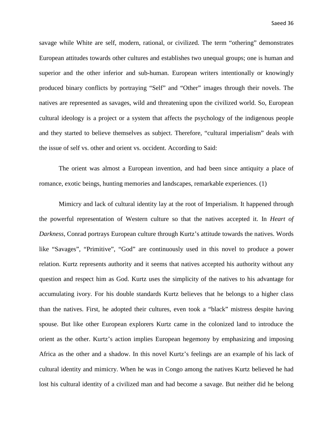savage while White are self, modern, rational, or civilized. The term "othering" demonstrates European attitudes towards other cultures and establishes two unequal groups; one is human and superior and the other inferior and sub-human. European writers intentionally or knowingly produced binary conflicts by portraying "Self" and "Other" images through their novels. The natives are represented as savages, wild and threatening upon the civilized world. So, European cultural ideology is a project or a system that affects the psychology of the indigenous people and they started to believe themselves as subject. Therefore, "cultural imperialism" deals with the issue of self vs. other and orient vs. occident. According to Said:

The orient was almost a European invention, and had been since antiquity a place of romance, exotic beings, hunting memories and landscapes, remarkable experiences. (1)

Mimicry and lack of cultural identity lay at the root of Imperialism. It happened through the powerful representation of Western culture so that the natives accepted it. In *Heart of Darkness*, Conrad portrays European culture through Kurtz's attitude towards the natives. Words like "Savages", "Primitive", "God" are continuously used in this novel to produce a power relation. Kurtz represents authority and it seems that natives accepted his authority without any question and respect him as God. Kurtz uses the simplicity of the natives to his advantage for accumulating ivory. For his double standards Kurtz believes that he belongs to a higher class than the natives. First, he adopted their cultures, even took a "black" mistress despite having spouse. But like other European explorers Kurtz came in the colonized land to introduce the orient as the other. Kurtz's action implies European hegemony by emphasizing and imposing Africa as the other and a shadow. In this novel Kurtz's feelings are an example of his lack of cultural identity and mimicry. When he was in Congo among the natives Kurtz believed he had lost his cultural identity of a civilized man and had become a savage. But neither did he belong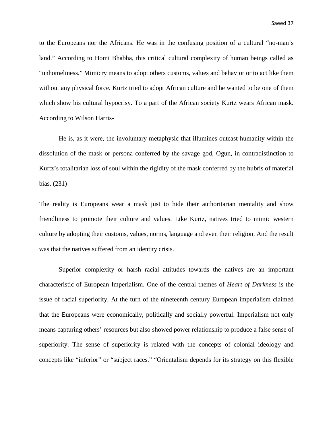to the Europeans nor the Africans. He was in the confusing position of a cultural "no-man's land." According to Homi Bhabha, this critical cultural complexity of human beings called as "unhomeliness." Mimicry means to adopt others customs, values and behavior or to act like them without any physical force. Kurtz tried to adopt African culture and he wanted to be one of them which show his cultural hypocrisy. To a part of the African society Kurtz wears African mask. According to Wilson Harris-

He is, as it were, the involuntary metaphysic that illumines outcast humanity within the dissolution of the mask or persona conferred by the savage god, Ogun, in contradistinction to Kurtz's totalitarian loss of soul within the rigidity of the mask conferred by the hubris of material bias. (231)

The reality is Europeans wear a mask just to hide their authoritarian mentality and show friendliness to promote their culture and values. Like Kurtz, natives tried to mimic western culture by adopting their customs, values, norms, language and even their religion. And the result was that the natives suffered from an identity crisis.

Superior complexity or harsh racial attitudes towards the natives are an important characteristic of European Imperialism. One of the central themes of *Heart of Darkness* is the issue of racial superiority. At the turn of the nineteenth century European imperialism claimed that the Europeans were economically, politically and socially powerful. Imperialism not only means capturing others' resources but also showed power relationship to produce a false sense of superiority. The sense of superiority is related with the concepts of colonial ideology and concepts like "inferior" or "subject races." "Orientalism depends for its strategy on this flexible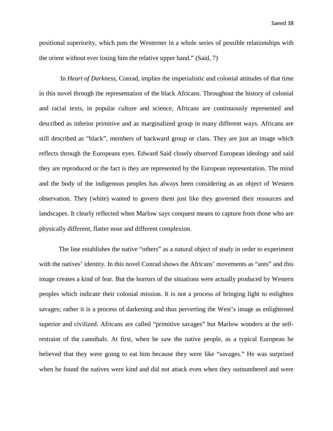positional superiority, which puts the Westerner in a whole series of possible relationships with the orient without ever losing him the relative upper hand." (Said, 7)

In *Heart of Darkness*, Conrad, implies the imperialistic and colonial attitudes of that time in this novel through the representation of the black Africans. Throughout the history of colonial and racial texts, in popular culture and science, Africans are continuously represented and described as inferior primitive and as marginalized group in many different ways. Africans are still described as "black", members of backward group or class. They are just an image which reflects through the Europeans eyes. Edward Said closely observed European ideology and said they are reproduced or the fact is they are represented by the European representation. The mind and the body of the indigenous peoples has always been considering as an object of Western observation. They (white) wanted to govern them just like they governed their resources and landscapes. It clearly reflected when Marlow says conquest means to capture from those who are physically different, flatter nose and different complexion.

The line establishes the native "others" as a natural object of study in order to experiment with the natives' identity. In this novel Conrad shows the Africans' movements as "ants" and this image creates a kind of fear. But the horrors of the situations were actually produced by Western peoples which indicate their colonial mission. It is not a process of bringing light to enlighten savages; rather it is a process of darkening and thus perverting the West's image as enlightened superior and civilized. Africans are called "primitive savages" but Marlow wonders at the selfrestraint of the cannibals. At first, when he saw the native people, as a typical European he believed that they were going to eat him because they were like "savages." He was surprised when he found the natives were kind and did not attack even when they outnumbered and were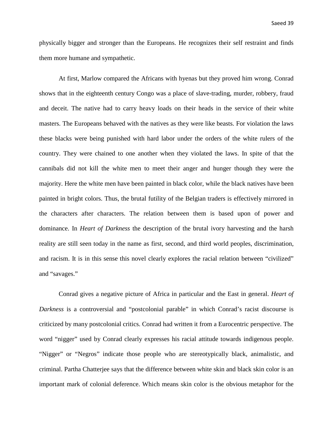physically bigger and stronger than the Europeans. He recognizes their self restraint and finds them more humane and sympathetic.

At first, Marlow compared the Africans with hyenas but they proved him wrong. Conrad shows that in the eighteenth century Congo was a place of slave-trading, murder, robbery, fraud and deceit. The native had to carry heavy loads on their heads in the service of their white masters. The Europeans behaved with the natives as they were like beasts. For violation the laws these blacks were being punished with hard labor under the orders of the white rulers of the country. They were chained to one another when they violated the laws. In spite of that the cannibals did not kill the white men to meet their anger and hunger though they were the majority. Here the white men have been painted in black color, while the black natives have been painted in bright colors. Thus, the brutal futility of the Belgian traders is effectively mirrored in the characters after characters. The relation between them is based upon of power and dominance. In *Heart of Darkness* the description of the brutal ivory harvesting and the harsh reality are still seen today in the name as first, second, and third world peoples, discrimination, and racism. It is in this sense this novel clearly explores the racial relation between "civilized" and "savages."

 Conrad gives a negative picture of Africa in particular and the East in general. *Heart of Darkness* is a controversial and "postcolonial parable" in which Conrad's racist discourse is criticized by many postcolonial critics. Conrad had written it from a Eurocentric perspective. The word "nigger" used by Conrad clearly expresses his racial attitude towards indigenous people. "Nigger" or "Negros" indicate those people who are stereotypically black, animalistic, and criminal. Partha Chatterjee says that the difference between white skin and black skin color is an important mark of colonial deference. Which means skin color is the obvious metaphor for the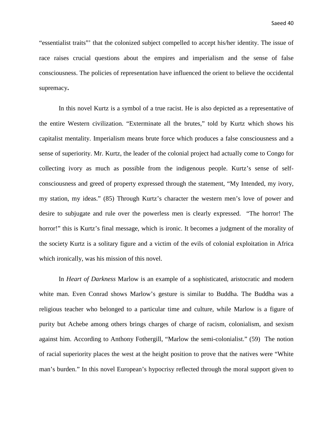"essentialist traits"' that the colonized subject compelled to accept his/her identity. The issue of race raises crucial questions about the empires and imperialism and the sense of false consciousness. The policies of representation have influenced the orient to believe the occidental supremacy**.** 

In this novel Kurtz is a symbol of a true racist. He is also depicted as a representative of the entire Western civilization. "Exterminate all the brutes," told by Kurtz which shows his capitalist mentality. Imperialism means brute force which produces a false consciousness and a sense of superiority. Mr. Kurtz, the leader of the colonial project had actually come to Congo for collecting ivory as much as possible from the indigenous people. Kurtz's sense of selfconsciousness and greed of property expressed through the statement, "My Intended, my ivory, my station, my ideas." (85) Through Kurtz's character the western men's love of power and desire to subjugate and rule over the powerless men is clearly expressed. "The horror! The horror!" this is Kurtz's final message, which is ironic. It becomes a judgment of the morality of the society Kurtz is a solitary figure and a victim of the evils of colonial exploitation in Africa which ironically, was his mission of this novel.

In *Heart of Darkness* Marlow is an example of a sophisticated, aristocratic and modern white man. Even Conrad shows Marlow's gesture is similar to Buddha. The Buddha was a religious teacher who belonged to a particular time and culture, while Marlow is a figure of purity but Achebe among others brings charges of charge of racism, colonialism, and sexism against him. According to Anthony Fothergill, "Marlow the semi-colonialist." (59) The notion of racial superiority places the west at the height position to prove that the natives were "White man's burden." In this novel European's hypocrisy reflected through the moral support given to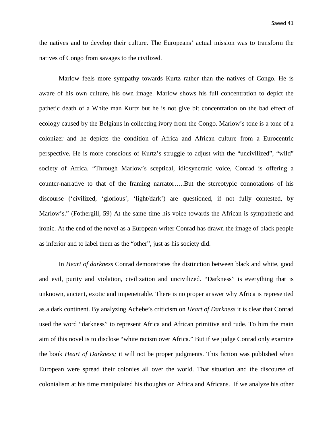the natives and to develop their culture. The Europeans' actual mission was to transform the natives of Congo from savages to the civilized.

Marlow feels more sympathy towards Kurtz rather than the natives of Congo. He is aware of his own culture, his own image. Marlow shows his full concentration to depict the pathetic death of a White man Kurtz but he is not give bit concentration on the bad effect of ecology caused by the Belgians in collecting ivory from the Congo. Marlow's tone is a tone of a colonizer and he depicts the condition of Africa and African culture from a Eurocentric perspective. He is more conscious of Kurtz's struggle to adjust with the "uncivilized", "wild" society of Africa. "Through Marlow's sceptical, idiosyncratic voice, Conrad is offering a counter-narrative to that of the framing narrator…..But the stereotypic connotations of his discourse ('civilized, 'glorious', 'light/dark') are questioned, if not fully contested, by Marlow's." (Fothergill, 59) At the same time his voice towards the African is sympathetic and ironic. At the end of the novel as a European writer Conrad has drawn the image of black people as inferior and to label them as the "other", just as his society did.

In *Heart of darkness* Conrad demonstrates the distinction between black and white, good and evil, purity and violation, civilization and uncivilized. "Darkness" is everything that is unknown, ancient, exotic and impenetrable. There is no proper answer why Africa is represented as a dark continent. By analyzing Achebe's criticism on *Heart of Darkness* it is clear that Conrad used the word "darkness" to represent Africa and African primitive and rude. To him the main aim of this novel is to disclose "white racism over Africa." But if we judge Conrad only examine the book *Heart of Darkness;* it will not be proper judgments. This fiction was published when European were spread their colonies all over the world. That situation and the discourse of colonialism at his time manipulated his thoughts on Africa and Africans. If we analyze his other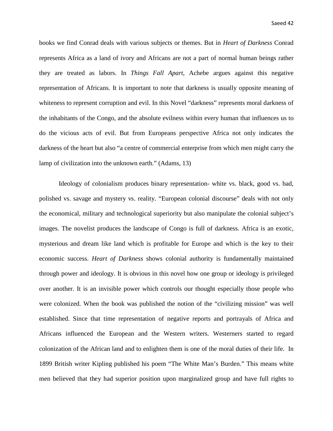Saeed 42

books we find Conrad deals with various subjects or themes. But in *Heart of Darkness* Conrad represents Africa as a land of ivory and Africans are not a part of normal human beings rather they are treated as labors. In *Things Fall Apart*, Achebe argues against this negative representation of Africans. It is important to note that darkness is usually opposite meaning of whiteness to represent corruption and evil. In this Novel "darkness" represents moral darkness of the inhabitants of the Congo, and the absolute evilness within every human that influences us to do the vicious acts of evil. But from Europeans perspective Africa not only indicates the darkness of the heart but also "a centre of commercial enterprise from which men might carry the lamp of civilization into the unknown earth." (Adams, 13)

Ideology of colonialism produces binary representation- white vs. black, good vs. bad, polished vs. savage and mystery vs. reality. "European colonial discourse" deals with not only the economical, military and technological superiority but also manipulate the colonial subject's images. The novelist produces the landscape of Congo is full of darkness. Africa is an exotic, mysterious and dream like land which is profitable for Europe and which is the key to their economic success. *Heart of Darkness* shows colonial authority is fundamentally maintained through power and ideology. It is obvious in this novel how one group or ideology is privileged over another. It is an invisible power which controls our thought especially those people who were colonized. When the book was published the notion of the "civilizing mission" was well established. Since that time representation of negative reports and portrayals of Africa and Africans influenced the European and the Western writers. Westerners started to regard colonization of the African land and to enlighten them is one of the moral duties of their life. In 1899 British writer Kipling published his poem "The White Man's Burden." This means white men believed that they had superior position upon marginalized group and have full rights to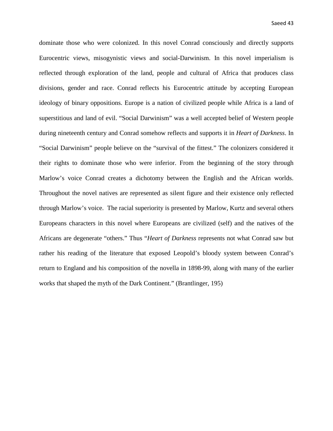dominate those who were colonized. In this novel Conrad consciously and directly supports Eurocentric views, misogynistic views and social-Darwinism. In this novel imperialism is reflected through exploration of the land, people and cultural of Africa that produces class divisions, gender and race. Conrad reflects his Eurocentric attitude by accepting European ideology of binary oppositions. Europe is a nation of civilized people while Africa is a land of superstitious and land of evil. "Social Darwinism" was a well accepted belief of Western people during nineteenth century and Conrad somehow reflects and supports it in *Heart of Darkness*. In "Social Darwinism" people believe on the "survival of the fittest." The colonizers considered it their rights to dominate those who were inferior. From the beginning of the story through Marlow's voice Conrad creates a dichotomy between the English and the African worlds. Throughout the novel natives are represented as silent figure and their existence only reflected through Marlow's voice. The racial superiority is presented by Marlow, Kurtz and several others Europeans characters in this novel where Europeans are civilized (self) and the natives of the Africans are degenerate "others." Thus "*Heart of Darkness* represents not what Conrad saw but rather his reading of the literature that exposed Leopold's bloody system between Conrad's return to England and his composition of the novella in 1898-99, along with many of the earlier works that shaped the myth of the Dark Continent." (Brantlinger, 195)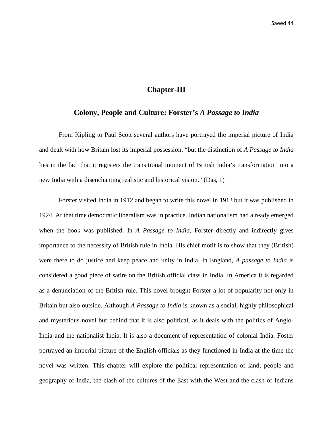#### **Chapter-III**

#### **Colony, People and Culture: Forster's** *A Passage to India*

From Kipling to Paul Scott several authors have portrayed the imperial picture of India and dealt with how Britain lost its imperial possession, "but the distinction of *A Passage to India* lies in the fact that it registers the transitional moment of British India's transformation into a new India with a disenchanting realistic and historical vision." (Das, 1)

Forster visited India in 1912 and began to write this novel in 1913 but it was published in 1924. At that time democratic liberalism was in practice. Indian nationalism had already emerged when the book was published. In *A Passage to India*, Forster directly and indirectly gives importance to the necessity of British rule in India. His chief motif is to show that they (British) were there to do justice and keep peace and unity in India. In England, *A passage to India* is considered a good piece of satire on the British official class in India. In America it is regarded as a denunciation of the British rule. This novel brought Forster a lot of popularity not only in Britain but also outside. Although *A Passage to India* is known as a social, highly philosophical and mysterious novel but behind that it is also political, as it deals with the politics of Anglo-India and the nationalist India. It is also a document of representation of colonial India. Foster portrayed an imperial picture of the English officials as they functioned in India at the time the novel was written. This chapter will explore the political representation of land, people and geography of India, the clash of the cultures of the East with the West and the clash of Indians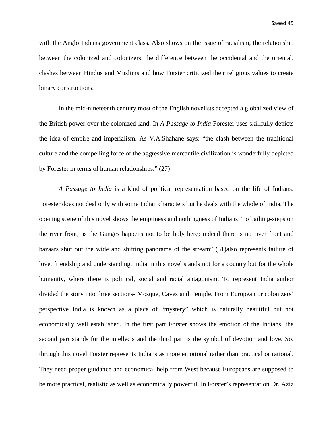with the Anglo Indians government class. Also shows on the issue of racialism, the relationship between the colonized and colonizers, the difference between the occidental and the oriental, clashes between Hindus and Muslims and how Forster criticized their religious values to create binary constructions.

In the mid-nineteenth century most of the English novelists accepted a globalized view of the British power over the colonized land. In *A Passage to India* Forester uses skillfully depicts the idea of empire and imperialism. As V.A.Shahane says: "the clash between the traditional culture and the compelling force of the aggressive mercantile civilization is wonderfully depicted by Forester in terms of human relationships." (27)

*A Passage to India* is a kind of political representation based on the life of Indians. Forester does not deal only with some Indian characters but he deals with the whole of India. The opening scene of this novel shows the emptiness and nothingness of Indians "no bathing-steps on the river front, as the Ganges happens not to be holy here; indeed there is no river front and bazaars shut out the wide and shifting panorama of the stream" (31)also represents failure of love, friendship and understanding. India in this novel stands not for a country but for the whole humanity, where there is political, social and racial antagonism. To represent India author divided the story into three sections- Mosque, Caves and Temple. From European or colonizers' perspective India is known as a place of "mystery" which is naturally beautiful but not economically well established. In the first part Forster shows the emotion of the Indians; the second part stands for the intellects and the third part is the symbol of devotion and love. So, through this novel Forster represents Indians as more emotional rather than practical or rational. They need proper guidance and economical help from West because Europeans are supposed to be more practical, realistic as well as economically powerful. In Forster's representation Dr. Aziz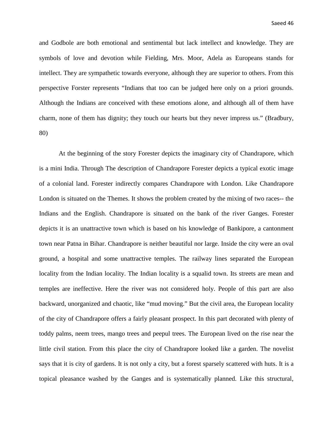and Godbole are both emotional and sentimental but lack intellect and knowledge. They are symbols of love and devotion while Fielding, Mrs. Moor, Adela as Europeans stands for intellect. They are sympathetic towards everyone, although they are superior to others. From this perspective Forster represents "Indians that too can be judged here only on a priori grounds. Although the Indians are conceived with these emotions alone, and although all of them have charm, none of them has dignity; they touch our hearts but they never impress us." (Bradbury, 80)

At the beginning of the story Forester depicts the imaginary city of Chandrapore, which is a mini India. Through The description of Chandrapore Forester depicts a typical exotic image of a colonial land. Forester indirectly compares Chandrapore with London. Like Chandrapore London is situated on the Themes. It shows the problem created by the mixing of two races-- the Indians and the English. Chandrapore is situated on the bank of the river Ganges. Forester depicts it is an unattractive town which is based on his knowledge of Bankipore, a cantonment town near Patna in Bihar. Chandrapore is neither beautiful nor large. Inside the city were an oval ground, a hospital and some unattractive temples. The railway lines separated the European locality from the Indian locality. The Indian locality is a squalid town. Its streets are mean and temples are ineffective. Here the river was not considered holy. People of this part are also backward, unorganized and chaotic, like "mud moving." But the civil area, the European locality of the city of Chandrapore offers a fairly pleasant prospect. In this part decorated with plenty of toddy palms, neem trees, mango trees and peepul trees. The European lived on the rise near the little civil station. From this place the city of Chandrapore looked like a garden. The novelist says that it is city of gardens. It is not only a city, but a forest sparsely scattered with huts. It is a topical pleasance washed by the Ganges and is systematically planned. Like this structural,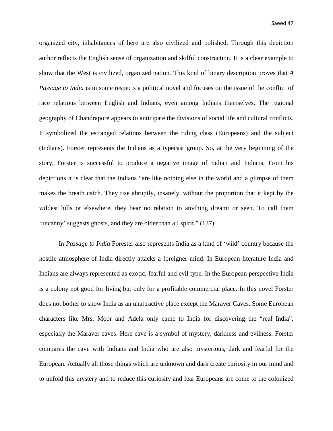organized city, inhabitances of here are also civilized and polished. Through this depiction author reflects the English sense of organization and skilful construction. It is a clear example to show that the West is civilized, organized nation. This kind of binary description proves that *A Passage to India* is in some respects a political novel and focuses on the issue of the conflict of race relations between English and Indians, even among Indians themselves. The regional geography of Chandrapore appears to anticipate the divisions of social life and cultural conflicts. It symbolized the estranged relations between the ruling class (Europeans) and the subject (Indians). Forster represents the Indians as a typecast group. So, at the very beginning of the story, Forster is successful to produce a negative image of Indian and Indians. From his depictions it is clear that the Indians "are like nothing else in the world and a glimpse of them makes the breath catch. They rise abruptly, insanely, without the proportion that it kept by the wildest hills or elsewhere, they bear no relation to anything dreamt or seen. To call them 'uncanny' suggests ghosts, and they are older than all spirit." (137)

In *Passage to India* Forester also represents India as a kind of 'wild' country because the hostile atmosphere of India directly attacks a foreigner mind. In European literature India and Indians are always represented as exotic, fearful and evil type. In the European perspective India is a colony not good for living but only for a profitable commercial place. In this novel Forster does not bother to show India as an unattractive place except the Maraver Caves. Some European characters like Mrs. Moor and Adela only came to India for discovering the "real India", especially the Maraver caves. Here cave is a symbol of mystery, darkness and evilness. Forster compares the cave with Indians and India who are also mysterious, dark and fearful for the European. Actually all those things which are unknown and dark create curiosity in our mind and to unfold this mystery and to reduce this curiosity and fear Europeans are come to the colonized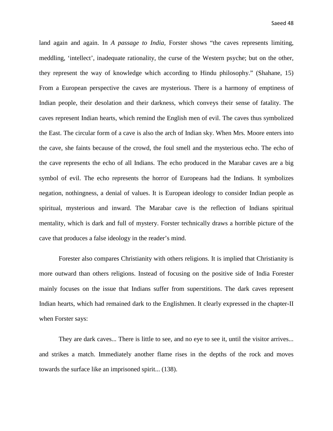land again and again. In *A passage to India,* Forster shows "the caves represents limiting, meddling, 'intellect', inadequate rationality, the curse of the Western psyche; but on the other, they represent the way of knowledge which according to Hindu philosophy." (Shahane, 15) From a European perspective the caves are mysterious. There is a harmony of emptiness of Indian people, their desolation and their darkness, which conveys their sense of fatality. The caves represent Indian hearts, which remind the English men of evil. The caves thus symbolized the East. The circular form of a cave is also the arch of Indian sky. When Mrs. Moore enters into the cave, she faints because of the crowd, the foul smell and the mysterious echo. The echo of the cave represents the echo of all Indians. The echo produced in the Marabar caves are a big symbol of evil. The echo represents the horror of Europeans had the Indians. It symbolizes negation, nothingness, a denial of values. It is European ideology to consider Indian people as spiritual, mysterious and inward. The Marabar cave is the reflection of Indians spiritual mentality, which is dark and full of mystery. Forster technically draws a horrible picture of the cave that produces a false ideology in the reader's mind.

Forester also compares Christianity with others religions. It is implied that Christianity is more outward than others religions. Instead of focusing on the positive side of India Forester mainly focuses on the issue that Indians suffer from superstitions. The dark caves represent Indian hearts, which had remained dark to the Englishmen. It clearly expressed in the chapter-II when Forster says:

They are dark caves... There is little to see, and no eye to see it, until the visitor arrives... and strikes a match. Immediately another flame rises in the depths of the rock and moves towards the surface like an imprisoned spirit... (138).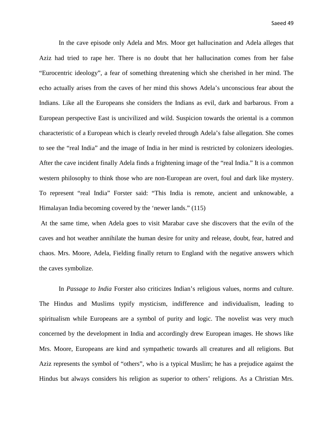In the cave episode only Adela and Mrs. Moor get hallucination and Adela alleges that Aziz had tried to rape her. There is no doubt that her hallucination comes from her false "Eurocentric ideology", a fear of something threatening which she cherished in her mind. The echo actually arises from the caves of her mind this shows Adela's unconscious fear about the Indians. Like all the Europeans she considers the Indians as evil, dark and barbarous. From a European perspective East is uncivilized and wild. Suspicion towards the oriental is a common characteristic of a European which is clearly reveled through Adela's false allegation. She comes to see the "real India" and the image of India in her mind is restricted by colonizers ideologies. After the cave incident finally Adela finds a frightening image of the "real India." It is a common western philosophy to think those who are non-European are overt, foul and dark like mystery. To represent "real India" Forster said: "This India is remote, ancient and unknowable, a Himalayan India becoming covered by the 'newer lands." (115)

At the same time, when Adela goes to visit Marabar cave she discovers that the eviln of the caves and hot weather annihilate the human desire for unity and release, doubt, fear, hatred and chaos. Mrs. Moore, Adela, Fielding finally return to England with the negative answers which the caves symbolize.

In *Passage to India* Forster also criticizes Indian's religious values, norms and culture. The Hindus and Muslims typify mysticism, indifference and individualism, leading to spiritualism while Europeans are a symbol of purity and logic. The novelist was very much concerned by the development in India and accordingly drew European images. He shows like Mrs. Moore, Europeans are kind and sympathetic towards all creatures and all religions. But Aziz represents the symbol of "others", who is a typical Muslim; he has a prejudice against the Hindus but always considers his religion as superior to others' religions. As a Christian Mrs.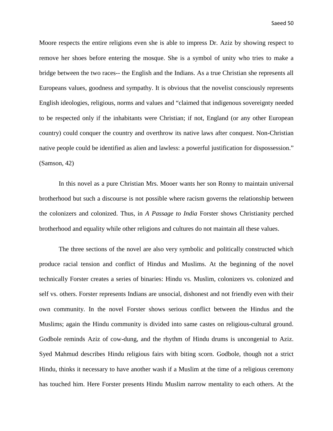Moore respects the entire religions even she is able to impress Dr. Aziz by showing respect to remove her shoes before entering the mosque. She is a symbol of unity who tries to make a bridge between the two races-- the English and the Indians. As a true Christian she represents all Europeans values, goodness and sympathy. It is obvious that the novelist consciously represents English ideologies, religious, norms and values and "claimed that indigenous sovereignty needed to be respected only if the inhabitants were Christian; if not, England (or any other European country) could conquer the country and overthrow its native laws after conquest. Non-Christian native people could be identified as alien and lawless: a powerful justification for dispossession." (Samson, 42)

In this novel as a pure Christian Mrs. Mooer wants her son Ronny to maintain universal brotherhood but such a discourse is not possible where racism governs the relationship between the colonizers and colonized. Thus, in *A Passage to India* Forster shows Christianity perched brotherhood and equality while other religions and cultures do not maintain all these values.

The three sections of the novel are also very symbolic and politically constructed which produce racial tension and conflict of Hindus and Muslims. At the beginning of the novel technically Forster creates a series of binaries: Hindu vs. Muslim, colonizers vs. colonized and self vs. others. Forster represents Indians are unsocial, dishonest and not friendly even with their own community. In the novel Forster shows serious conflict between the Hindus and the Muslims; again the Hindu community is divided into same castes on religious-cultural ground. Godbole reminds Aziz of cow-dung, and the rhythm of Hindu drums is uncongenial to Aziz. Syed Mahmud describes Hindu religious fairs with biting scorn. Godbole, though not a strict Hindu, thinks it necessary to have another wash if a Muslim at the time of a religious ceremony has touched him. Here Forster presents Hindu Muslim narrow mentality to each others. At the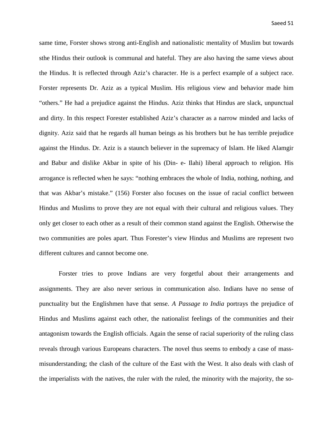same time, Forster shows strong anti-English and nationalistic mentality of Muslim but towards sthe Hindus their outlook is communal and hateful. They are also having the same views about the Hindus. It is reflected through Aziz's character. He is a perfect example of a subject race. Forster represents Dr. Aziz as a typical Muslim. His religious view and behavior made him "others." He had a prejudice against the Hindus. Aziz thinks that Hindus are slack, unpunctual and dirty. In this respect Forester established Aziz's character as a narrow minded and lacks of dignity. Aziz said that he regards all human beings as his brothers but he has terrible prejudice against the Hindus. Dr. Aziz is a staunch believer in the supremacy of Islam. He liked Alamgir and Babur and dislike Akbar in spite of his (Din- e- Ilahi) liberal approach to religion. His arrogance is reflected when he says: "nothing embraces the whole of India, nothing, nothing, and that was Akbar's mistake." (156) Forster also focuses on the issue of racial conflict between Hindus and Muslims to prove they are not equal with their cultural and religious values. They only get closer to each other as a result of their common stand against the English. Otherwise the two communities are poles apart. Thus Forester's view Hindus and Muslims are represent two different cultures and cannot become one.

Forster tries to prove Indians are very forgetful about their arrangements and assignments. They are also never serious in communication also. Indians have no sense of punctuality but the Englishmen have that sense. *A Passage to India* portrays the prejudice of Hindus and Muslims against each other, the nationalist feelings of the communities and their antagonism towards the English officials. Again the sense of racial superiority of the ruling class reveals through various Europeans characters. The novel thus seems to embody a case of massmisunderstanding; the clash of the culture of the East with the West. It also deals with clash of the imperialists with the natives, the ruler with the ruled, the minority with the majority, the so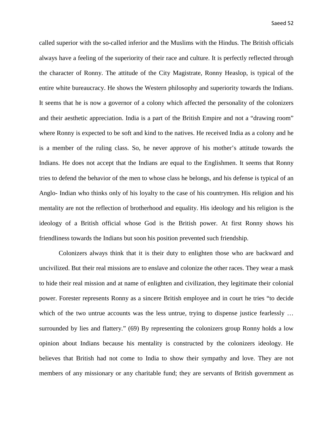called superior with the so-called inferior and the Muslims with the Hindus. The British officials always have a feeling of the superiority of their race and culture. It is perfectly reflected through the character of Ronny. The attitude of the City Magistrate, Ronny Heaslop, is typical of the entire white bureaucracy. He shows the Western philosophy and superiority towards the Indians. It seems that he is now a governor of a colony which affected the personality of the colonizers and their aesthetic appreciation. India is a part of the British Empire and not a "drawing room" where Ronny is expected to be soft and kind to the natives. He received India as a colony and he is a member of the ruling class. So, he never approve of his mother's attitude towards the Indians. He does not accept that the Indians are equal to the Englishmen. It seems that Ronny tries to defend the behavior of the men to whose class he belongs, and his defense is typical of an Anglo- Indian who thinks only of his loyalty to the case of his countrymen. His religion and his mentality are not the reflection of brotherhood and equality. His ideology and his religion is the ideology of a British official whose God is the British power. At first Ronny shows his friendliness towards the Indians but soon his position prevented such friendship.

Colonizers always think that it is their duty to enlighten those who are backward and uncivilized. But their real missions are to enslave and colonize the other races. They wear a mask to hide their real mission and at name of enlighten and civilization, they legitimate their colonial power. Forester represents Ronny as a sincere British employee and in court he tries "to decide which of the two untrue accounts was the less untrue, trying to dispense justice fearlessly ... surrounded by lies and flattery." (69) By representing the colonizers group Ronny holds a low opinion about Indians because his mentality is constructed by the colonizers ideology. He believes that British had not come to India to show their sympathy and love. They are not members of any missionary or any charitable fund; they are servants of British government as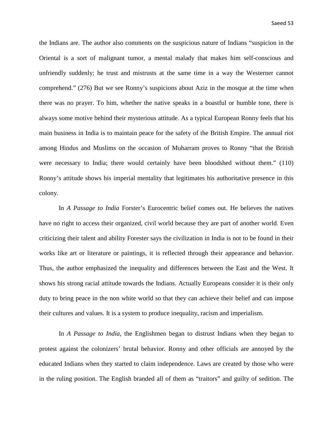the Indians are. The author also comments on the suspicious nature of Indians "suspicion in the Oriental is a sort of malignant tumor, a mental malady that makes him self-conscious and unfriendly suddenly; he trust and mistrusts at the same time in a way the Westerner cannot comprehend." (276) But we see Ronny's suspicions about Aziz in the mosque at the time when there was no prayer. To him, whether the native speaks in a boastful or humble tone, there is always some motive behind their mysterious attitude. As a typical European Ronny feels that his main business in India is to maintain peace for the safety of the British Empire. The annual riot among Hindus and Muslims on the occasion of Muharram proves to Ronny "that the British were necessary to India; there would certainly have been bloodshed without them." (110) Ronny's attitude shows his imperial mentality that legitimates his authoritative presence in this colony.

In *A Passage to India* Forster's Eurocentric belief comes out. He believes the natives have no right to access their organized, civil world because they are part of another world. Even criticizing their talent and ability Forester says the civilization in India is not to be found in their works like art or literature or paintings, it is reflected through their appearance and behavior. Thus, the author emphasized the inequality and differences between the East and the West. It shows his strong racial attitude towards the Indians. Actually Europeans consider it is their only duty to bring peace in the non white world so that they can achieve their belief and can impose their cultures and values. It is a system to produce inequality, racism and imperialism.

In *A Passage to India*, the Englishmen began to distrust Indians when they began to protest against the colonizers' brutal behavior. Ronny and other officials are annoyed by the educated Indians when they started to claim independence. Laws are created by those who were in the ruling position. The English branded all of them as "traitors" and guilty of sedition. The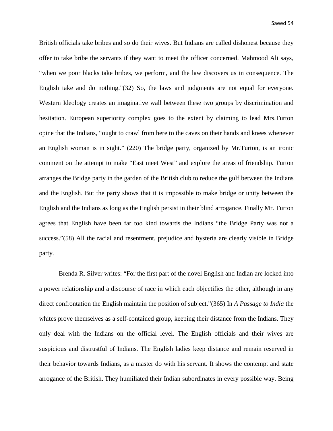British officials take bribes and so do their wives. But Indians are called dishonest because they offer to take bribe the servants if they want to meet the officer concerned. Mahmood Ali says, "when we poor blacks take bribes, we perform, and the law discovers us in consequence. The English take and do nothing."(32) So, the laws and judgments are not equal for everyone. Western Ideology creates an imaginative wall between these two groups by discrimination and hesitation. European superiority complex goes to the extent by claiming to lead Mrs.Turton opine that the Indians, "ought to crawl from here to the caves on their hands and knees whenever an English woman is in sight." (220) The bridge party, organized by Mr.Turton, is an ironic comment on the attempt to make "East meet West" and explore the areas of friendship. Turton arranges the Bridge party in the garden of the British club to reduce the gulf between the Indians and the English. But the party shows that it is impossible to make bridge or unity between the English and the Indians as long as the English persist in their blind arrogance. Finally Mr. Turton agrees that English have been far too kind towards the Indians "the Bridge Party was not a success."(58) All the racial and resentment, prejudice and hysteria are clearly visible in Bridge party.

Brenda R. Silver writes: "For the first part of the novel English and Indian are locked into a power relationship and a discourse of race in which each objectifies the other, although in any direct confrontation the English maintain the position of subject."(365) In *A Passage to India* the whites prove themselves as a self-contained group, keeping their distance from the Indians. They only deal with the Indians on the official level. The English officials and their wives are suspicious and distrustful of Indians. The English ladies keep distance and remain reserved in their behavior towards Indians, as a master do with his servant. It shows the contempt and state arrogance of the British. They humiliated their Indian subordinates in every possible way. Being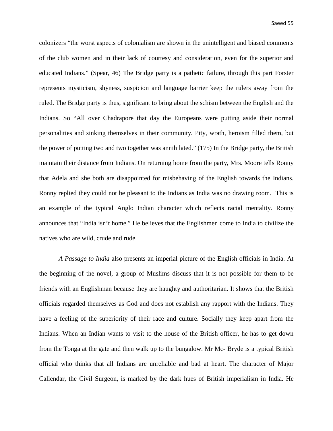colonizers "the worst aspects of colonialism are shown in the unintelligent and biased comments of the club women and in their lack of courtesy and consideration, even for the superior and educated Indians." (Spear, 46) The Bridge party is a pathetic failure, through this part Forster represents mysticism, shyness, suspicion and language barrier keep the rulers away from the ruled. The Bridge party is thus, significant to bring about the schism between the English and the Indians. So "All over Chadrapore that day the Europeans were putting aside their normal personalities and sinking themselves in their community. Pity, wrath, heroism filled them, but the power of putting two and two together was annihilated." (175) In the Bridge party, the British maintain their distance from Indians. On returning home from the party, Mrs. Moore tells Ronny that Adela and she both are disappointed for misbehaving of the English towards the Indians. Ronny replied they could not be pleasant to the Indians as India was no drawing room. This is an example of the typical Anglo Indian character which reflects racial mentality. Ronny announces that "India isn't home." He believes that the Englishmen come to India to civilize the natives who are wild, crude and rude.

*A Passage to India* also presents an imperial picture of the English officials in India. At the beginning of the novel, a group of Muslims discuss that it is not possible for them to be friends with an Englishman because they are haughty and authoritarian. It shows that the British officials regarded themselves as God and does not establish any rapport with the Indians. They have a feeling of the superiority of their race and culture. Socially they keep apart from the Indians. When an Indian wants to visit to the house of the British officer, he has to get down from the Tonga at the gate and then walk up to the bungalow. Mr Mc- Bryde is a typical British official who thinks that all Indians are unreliable and bad at heart. The character of Major Callendar, the Civil Surgeon, is marked by the dark hues of British imperialism in India. He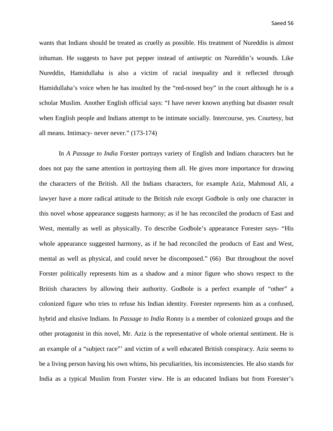wants that Indians should be treated as cruelly as possible. His treatment of Nureddin is almost inhuman. He suggests to have put pepper instead of antiseptic on Nureddin's wounds. Like Nureddin, Hamidullaha is also a victim of racial inequality and it reflected through Hamidullaha's voice when he has insulted by the "red-nosed boy" in the court although he is a scholar Muslim. Another English official says: "I have never known anything but disaster result when English people and Indians attempt to be intimate socially. Intercourse, yes. Courtesy, but all means. Intimacy- never never." (173-174)

In *A Passage to India* Forster portrays variety of English and Indians characters but he does not pay the same attention in portraying them all. He gives more importance for drawing the characters of the British. All the Indians characters, for example Aziz, Mahmoud Ali, a lawyer have a more radical attitude to the British rule except Godbole is only one character in this novel whose appearance suggests harmony; as if he has reconciled the products of East and West, mentally as well as physically. To describe Godbole's appearance Forester says- "His whole appearance suggested harmony, as if he had reconciled the products of East and West, mental as well as physical, and could never be discomposed." (66) But throughout the novel Forster politically represents him as a shadow and a minor figure who shows respect to the British characters by allowing their authority. Godbole is a perfect example of "other" a colonized figure who tries to refuse his Indian identity. Forester represents him as a confused, hybrid and elusive Indians. In *Passage to India* Ronny is a member of colonized groups and the other protagonist in this novel, Mr. Aziz is the representative of whole oriental sentiment. He is an example of a "subject race"' and victim of a well educated British conspiracy. Aziz seems to be a living person having his own whims, his peculiarities, his inconsistencies. He also stands for India as a typical Muslim from Forster view. He is an educated Indians but from Forester's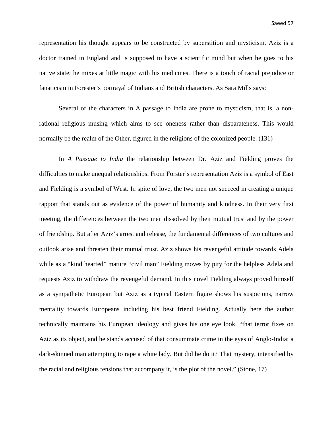representation his thought appears to be constructed by superstition and mysticism. Aziz is a doctor trained in England and is supposed to have a scientific mind but when he goes to his native state; he mixes at little magic with his medicines. There is a touch of racial prejudice or fanaticism in Forester's portrayal of Indians and British characters. As Sara Mills says:

Several of the characters in A passage to India are prone to mysticism, that is, a nonrational religious musing which aims to see oneness rather than disparateness. This would normally be the realm of the Other, figured in the religions of the colonized people. (131)

In *A Passage to India* the relationship between Dr. Aziz and Fielding proves the difficulties to make unequal relationships. From Forster's representation Aziz is a symbol of East and Fielding is a symbol of West. In spite of love, the two men not succeed in creating a unique rapport that stands out as evidence of the power of humanity and kindness. In their very first meeting, the differences between the two men dissolved by their mutual trust and by the power of friendship. But after Aziz's arrest and release, the fundamental differences of two cultures and outlook arise and threaten their mutual trust. Aziz shows his revengeful attitude towards Adela while as a "kind hearted" mature "civil man" Fielding moves by pity for the helpless Adela and requests Aziz to withdraw the revengeful demand. In this novel Fielding always proved himself as a sympathetic European but Aziz as a typical Eastern figure shows his suspicions, narrow mentality towards Europeans including his best friend Fielding. Actually here the author technically maintains his European ideology and gives his one eye look, "that terror fixes on Aziz as its object, and he stands accused of that consummate crime in the eyes of Anglo-India: a dark-skinned man attempting to rape a white lady. But did he do it? That mystery, intensified by the racial and religious tensions that accompany it, is the plot of the novel." (Stone, 17)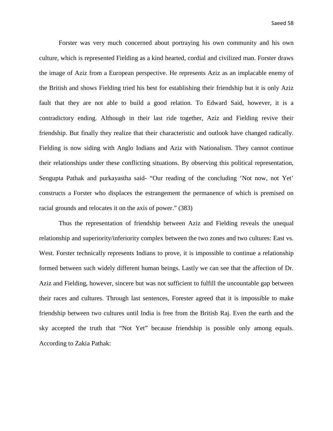Forster was very much concerned about portraying his own community and his own culture, which is represented Fielding as a kind hearted, cordial and civilized man. Forster draws the image of Aziz from a European perspective. He represents Aziz as an implacable enemy of the British and shows Fielding tried his best for establishing their friendship but it is only Aziz fault that they are not able to build a good relation. To Edward Said, however, it is a contradictory ending. Although in their last ride together, Aziz and Fielding revive their friendship. But finally they realize that their characteristic and outlook have changed radically. Fielding is now siding with Anglo Indians and Aziz with Nationalism. They cannot continue their relationships under these conflicting situations. By observing this political representation, Sengupta Pathak and purkayastha said- "Our reading of the concluding 'Not now, not Yet' constructs a Forster who displaces the estrangement the permanence of which is premised on racial grounds and relocates it on the axis of power." (383)

Thus the representation of friendship between Aziz and Fielding reveals the unequal relationship and superiority/inferiority complex between the two zones and two cultures: East vs. West. Forster technically represents Indians to prove, it is impossible to continue a relationship formed between such widely different human beings. Lastly we can see that the affection of Dr. Aziz and Fielding, however, sincere but was not sufficient to fulfill the uncountable gap between their races and cultures. Through last sentences, Forester agreed that it is impossible to make friendship between two cultures until India is free from the British Raj. Even the earth and the sky accepted the truth that "Not Yet" because friendship is possible only among equals. According to Zakia Pathak: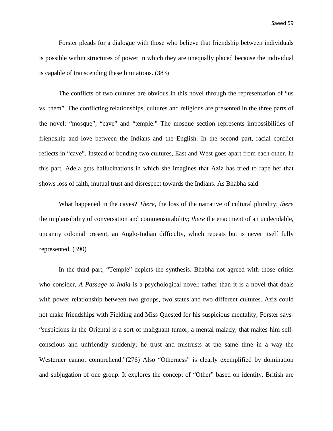Saeed 59

Forster pleads for a dialogue with those who believe that friendship between individuals is possible within structures of power in which they are unequally placed because the individual is capable of transcending these limitations. (383)

The conflicts of two cultures are obvious in this novel through the representation of "us vs. them". The conflicting relationships, cultures and religions are presented in the three parts of the novel: "mosque", "cave" and "temple." The mosque section represents impossibilities of friendship and love between the Indians and the English. In the second part, racial conflict reflects in "cave". Instead of bonding two cultures, East and West goes apart from each other. In this part, Adela gets hallucinations in which she imagines that Aziz has tried to rape her that shows loss of faith, mutual trust and disrespect towards the Indians. As Bhabha said:

What happened in the caves? *There,* the loss of the narrative of cultural plurality; *there* the implausibility of conversation and commensurability; *there* the enactment of an undecidable, uncanny colonial present, an Anglo-Indian difficulty, which repeats but is never itself fully represented. (390)

In the third part, "Temple" depicts the synthesis. Bhabha not agreed with those critics who consider, *A Passage to India* is a psychological novel; rather than it is a novel that deals with power relationship between two groups, two states and two different cultures. Aziz could not make friendships with Fielding and Miss Quested for his suspicious mentality, Forster says- "suspicions in the Oriental is a sort of malignant tumor, a mental malady, that makes him selfconscious and unfriendly suddenly; he trust and mistrusts at the same time in a way the Westerner cannot comprehend."(276) Also "Otherness" is clearly exemplified by domination and subjugation of one group. It explores the concept of "Other" based on identity. British are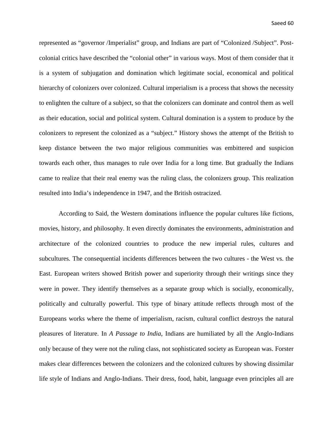represented as "governor /Imperialist" group, and Indians are part of "Colonized /Subject". Postcolonial critics have described the "colonial other" in various ways. Most of them consider that it is a system of subjugation and domination which legitimate social, economical and political hierarchy of colonizers over colonized. Cultural imperialism is a process that shows the necessity to enlighten the culture of a subject, so that the colonizers can dominate and control them as well as their education, social and political system. Cultural domination is a system to produce by the colonizers to represent the colonized as a "subject." History shows the attempt of the British to keep distance between the two major religious communities was embittered and suspicion towards each other, thus manages to rule over India for a long time. But gradually the Indians came to realize that their real enemy was the ruling class, the colonizers group. This realization resulted into India's independence in 1947, and the British ostracized.

According to Said, the Western dominations influence the popular cultures like fictions, movies, history, and philosophy. It even directly dominates the environments, administration and architecture of the colonized countries to produce the new imperial rules, cultures and subcultures*.* The consequential incidents differences between the two cultures - the West vs. the East. European writers showed British power and superiority through their writings since they were in power. They identify themselves as a separate group which is socially, economically, politically and culturally powerful. This type of binary attitude reflects through most of the Europeans works where the theme of imperialism, racism, cultural conflict destroys the natural pleasures of literature. In *A Passage to India*, Indians are humiliated by all the Anglo-Indians only because of they were not the ruling class, not sophisticated society as European was. Forster makes clear differences between the colonizers and the colonized cultures by showing dissimilar life style of Indians and Anglo-Indians. Their dress, food, habit, language even principles all are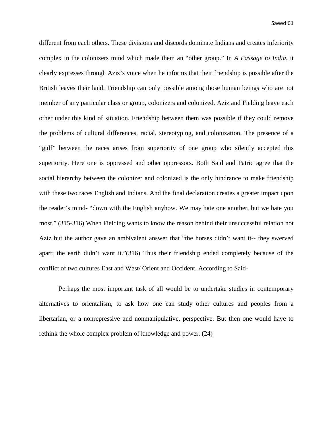different from each others. These divisions and discords dominate Indians and creates inferiority complex in the colonizers mind which made them an "other group." In *A Passage to India*, it clearly expresses through Aziz's voice when he informs that their friendship is possible after the British leaves their land. Friendship can only possible among those human beings who are not member of any particular class or group, colonizers and colonized. Aziz and Fielding leave each other under this kind of situation. Friendship between them was possible if they could remove the problems of cultural differences, racial, stereotyping, and colonization. The presence of a "gulf" between the races arises from superiority of one group who silently accepted this superiority. Here one is oppressed and other oppressors. Both Said and Patric agree that the social hierarchy between the colonizer and colonized is the only hindrance to make friendship with these two races English and Indians. And the final declaration creates a greater impact upon the reader's mind- "down with the English anyhow. We may hate one another, but we hate you most." (315-316) When Fielding wants to know the reason behind their unsuccessful relation not Aziz but the author gave an ambivalent answer that "the horses didn't want it-- they swerved apart; the earth didn't want it."(316) Thus their friendship ended completely because of the conflict of two cultures East and West/ Orient and Occident. According to Said-

Perhaps the most important task of all would be to undertake studies in contemporary alternatives to orientalism, to ask how one can study other cultures and peoples from a libertarian, or a nonrepressive and nonmanipulative, perspective. But then one would have to rethink the whole complex problem of knowledge and power. (24)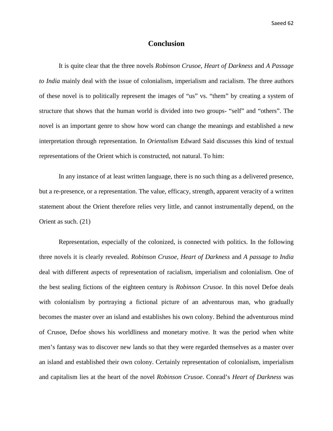#### **Conclusion**

It is quite clear that the three novels *Robinson Crusoe*, *Heart of Darkness* and *A Passage to India* mainly deal with the issue of colonialism, imperialism and racialism. The three authors of these novel is to politically represent the images of "us" vs. "them" by creating a system of structure that shows that the human world is divided into two groups- "self" and "others". The novel is an important genre to show how word can change the meanings and established a new interpretation through representation. In *Orientalism* Edward Said discusses this kind of textual representations of the Orient which is constructed, not natural. To him:

In any instance of at least written language, there is no such thing as a delivered presence, but a re-presence, or a representation. The value, efficacy, strength, apparent veracity of a written statement about the Orient therefore relies very little, and cannot instrumentally depend, on the Orient as such. (21)

Representation, especially of the colonized, is connected with politics. In the following three novels it is clearly revealed. *Robinson Crusoe, Heart of Darkness* and *A passage to India*  deal with different aspects of representation of racialism, imperialism and colonialism. One of the best sealing fictions of the eighteen century is *Robinson Crusoe*. In this novel Defoe deals with colonialism by portraying a fictional picture of an adventurous man, who gradually becomes the master over an island and establishes his own colony. Behind the adventurous mind of Crusoe, Defoe shows his worldliness and monetary motive. It was the period when white men's fantasy was to discover new lands so that they were regarded themselves as a master over an island and established their own colony. Certainly representation of colonialism, imperialism and capitalism lies at the heart of the novel *Robinson Crusoe*. Conrad's *Heart of Darkness* was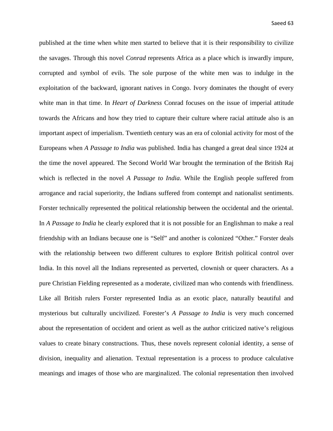published at the time when white men started to believe that it is their responsibility to civilize the savages. Through this novel *Conrad* represents Africa as a place which is inwardly impure, corrupted and symbol of evils. The sole purpose of the white men was to indulge in the exploitation of the backward, ignorant natives in Congo. Ivory dominates the thought of every white man in that time. In *Heart of Darkness* Conrad focuses on the issue of imperial attitude towards the Africans and how they tried to capture their culture where racial attitude also is an important aspect of imperialism. Twentieth century was an era of colonial activity for most of the Europeans when *A Passage to India* was published. India has changed a great deal since 1924 at the time the novel appeared. The Second World War brought the termination of the British Raj which is reflected in the novel *A Passage to India*. While the English people suffered from arrogance and racial superiority, the Indians suffered from contempt and nationalist sentiments. Forster technically represented the political relationship between the occidental and the oriental. In *A Passage to India* he clearly explored that it is not possible for an Englishman to make a real friendship with an Indians because one is "Self" and another is colonized "Other." Forster deals with the relationship between two different cultures to explore British political control over India. In this novel all the Indians represented as perverted, clownish or queer characters. As a pure Christian Fielding represented as a moderate, civilized man who contends with friendliness. Like all British rulers Forster represented India as an exotic place, naturally beautiful and mysterious but culturally uncivilized. Forester's *A Passage to India* is very much concerned about the representation of occident and orient as well as the author criticized native's religious values to create binary constructions. Thus, these novels represent colonial identity, a sense of division, inequality and alienation. Textual representation is a process to produce calculative meanings and images of those who are marginalized. The colonial representation then involved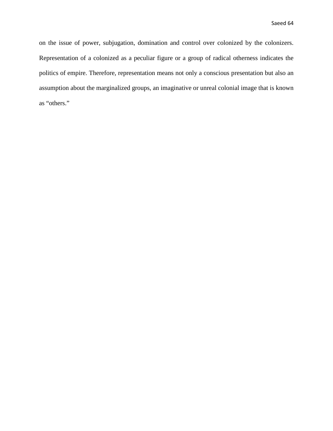on the issue of power, subjugation, domination and control over colonized by the colonizers. Representation of a colonized as a peculiar figure or a group of radical otherness indicates the politics of empire. Therefore, representation means not only a conscious presentation but also an assumption about the marginalized groups, an imaginative or unreal colonial image that is known as "others."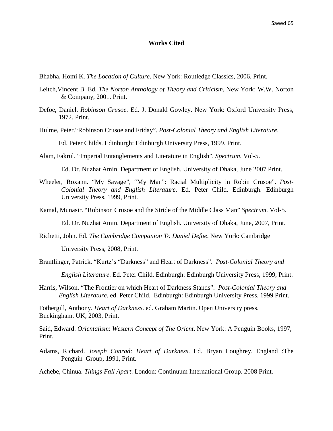#### **Works Cited**

Bhabha, Homi K. *The Location of Culture*. New York: Routledge Classics, 2006. Print.

- Leitch,Vincent B. Ed. *The Norton Anthology of Theory and Criticism*, New York: W.W. Norton & Company, 2001. Print.
- Defoe, Daniel. *Robinson Crusoe*. Ed. J. Donald Gowley. New York: Oxford University Press, 1972. Print.
- Hulme, Peter."Robinson Crusoe and Friday". *Post-Colonial Theory and English Literature*.

Ed. Peter Childs. Edinburgh: Edinburgh University Press, 1999. Print.

Alam, Fakrul. "Imperial Entanglements and Literature in English". *Spectrum*. Vol-5.

Ed. Dr. Nuzhat Amin. Department of English. University of Dhaka, June 2007 Print.

Wheeler, Roxann. "My Savage", "My Man": Racial Multiplicity in Robin Crusoe". *Post-Colonial Theory and English Literature*. Ed. Peter Child. Edinburgh: Edinburgh University Press, 1999, Print.

Kamal, Munasir. "Robinson Crusoe and the Stride of the Middle Class Man" *Spectrum*. Vol-5.

Ed. Dr. Nuzhat Amin. Department of English. University of Dhaka, June, 2007, Print.

Richetti, John. Ed. *The Cambridge Companion To Daniel Defoe*. New York: Cambridge

University Press, 2008, Print.

Brantlinger, Patrick. "Kurtz's "Darkness" and Heart of Darkness". *Post-Colonial Theory and* 

*English Literature*. Ed. Peter Child. Edinburgh: Edinburgh University Press, 1999, Print.

Harris, Wilson. "The Frontier on which Heart of Darkness Stands". *Post-Colonial Theory and English Literature*. ed. Peter Child. Edinburgh: Edinburgh University Press. 1999 Print.

Fothergill, Anthony. *Heart of Darkness*. ed. Graham Martin. Open University press. Buckingham. UK, 2003, Print.

Said, Edward. *Orientalism*: *Western Concept of The Orient*. New York: A Penguin Books, 1997, Print.

Adams, Richard. *Joseph Conrad: Heart of Darkness*. Ed. Bryan Loughrey. England :The Penguin Group, 1991, Print.

Achebe, Chinua. *Things Fall Apart*. London: Continuum International Group. 2008 Print.